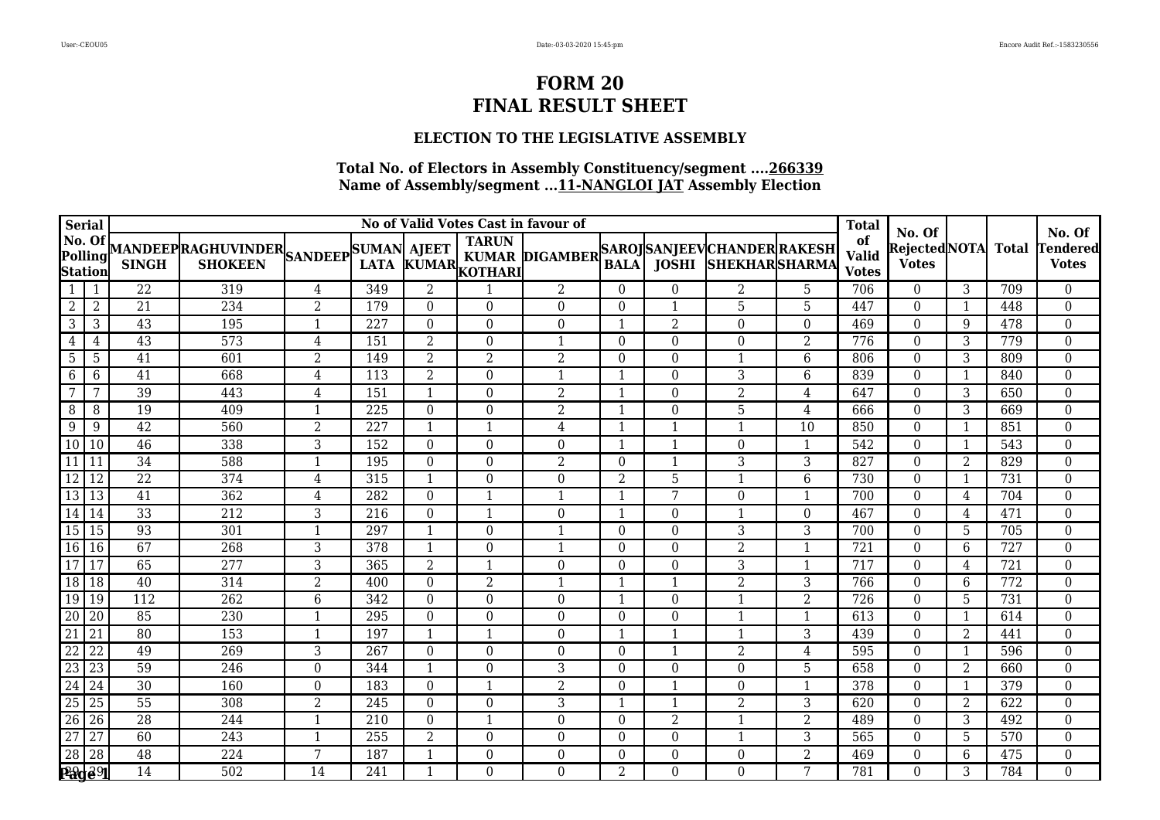## **ELECTION TO THE LEGISLATIVE ASSEMBLY**

| <b>Serial</b>                       |                 |                 |                                                           |                  |                  |                  |                         | No of Valid Votes Cast in favour of         |                  |                  |                            |                  | <b>Total</b>                       | No. Of                        |                |              | No. Of                          |
|-------------------------------------|-----------------|-----------------|-----------------------------------------------------------|------------------|------------------|------------------|-------------------------|---------------------------------------------|------------------|------------------|----------------------------|------------------|------------------------------------|-------------------------------|----------------|--------------|---------------------------------|
| No. Of<br>Polling<br><b>Station</b> |                 | <b>SINGH</b>    | MANDEEP RAGHUVINDER SANDEEP SUMAN AJEET<br><b>SHOKEEN</b> |                  |                  |                  | LATA KUMAR KOTHARI      | KUMAR DIGAMBER SAROJ SANJEEV CHANDER RAKESH | <b>BALA</b>      |                  | <b>JOSHI SHEKHARSHARMA</b> |                  | of<br><b>Valid</b><br><b>Votes</b> | Rejected NOTA<br><b>Votes</b> |                | <b>Total</b> | <b>Tendered</b><br><b>Votes</b> |
| 1                                   | 1               | 22              | 319                                                       | 4                | 349              | $\overline{2}$   |                         | $\overline{2}$                              | $\Omega$         | $\mathbf{0}$     | $\overline{2}$             | 5                | 706                                | $\theta$                      | 3              | 709          | $\overline{0}$                  |
| 2                                   | $\overline{2}$  | $\overline{21}$ | 234                                                       | $\overline{2}$   | 179              | $\theta$         | $\Omega$                | $\Omega$                                    | $\Omega$         | $\mathbf{1}$     | 5                          | 5                | 447                                | $\Omega$                      | 1              | 448          | $\overline{0}$                  |
| $\mathbf{3}$                        | 3               | 43              | 195                                                       | $\mathbf{1}$     | 227              | $\mathbf{0}$     | $\theta$                | $\overline{0}$                              | $\mathbf{1}$     | $\overline{2}$   | $\Omega$                   | $\mathbf 0$      | 469                                | $\theta$                      | 9              | 478          | $\overline{0}$                  |
| 4                                   | 4               | 43              | 573                                                       | $\,4\,$          | 151              | $\overline{2}$   | $\theta$                | $\mathbf{1}$                                | $\boldsymbol{0}$ | $\boldsymbol{0}$ | $\overline{0}$             | $\overline{2}$   | 776                                | $\Omega$                      | 3              | 779          | $\boldsymbol{0}$                |
| 5                                   | 5               | 41              | 601                                                       | $\overline{2}$   | 149              | $\overline{2}$   | $\overline{2}$          | $\overline{2}$                              | $\Omega$         | $\overline{0}$   | 1                          | 6                | 806                                | $\theta$                      | 3              | 809          | $\boldsymbol{0}$                |
| -6                                  | 6               | $\overline{41}$ | 668                                                       | $\overline{4}$   | 113              | $\overline{2}$   | $\Omega$                | $\mathbf 1$                                 | $\mathbf 1$      | $\boldsymbol{0}$ | 3                          | 6                | 839                                | $\Omega$                      |                | 840          | $\boldsymbol{0}$                |
| $\overline{7}$                      | 7               | 39              | 443                                                       | $\overline{4}$   | 151              | $\mathbf{1}$     | $\theta$                | $\overline{2}$                              | $\mathbf{1}$     | $\boldsymbol{0}$ | $\overline{2}$             | 4                | 647                                | $\Omega$                      | 3              | 650          | $\overline{0}$                  |
| 8                                   | 8               | 19              | 409                                                       | $\mathbf{1}$     | $\overline{225}$ | $\boldsymbol{0}$ | $\mathbf{0}$            | $\overline{2}$                              | $\mathbf{1}$     | $\boldsymbol{0}$ | 5                          | 4                | 666                                | $\boldsymbol{0}$              | 3              | 669          | $\boldsymbol{0}$                |
| 9                                   | 9               | 42              | 560                                                       | $\overline{2}$   | 227              | 1                | $\overline{\mathbf{1}}$ | 4                                           | 1                | $\mathbf{1}$     | $\mathbf{1}$               | 10               | 850                                | $\theta$                      |                | 851          | $\boldsymbol{0}$                |
| 10                                  | $\sqrt{10}$     | 46              | 338                                                       | $\overline{3}$   | 152              | $\boldsymbol{0}$ | $\Omega$                | $\Omega$                                    | 1                | $\mathbf{1}$     | $\Omega$                   | $\mathbf{1}$     | 542                                | $\theta$                      |                | 543          | $\overline{0}$                  |
| $\overline{11}$                     | 11              | $\overline{34}$ | 588                                                       | $\mathbf{1}$     | 195              | $\boldsymbol{0}$ | $\theta$                | $\overline{2}$                              | $\Omega$         | 1                | 3                          | $\overline{3}$   | $\overline{827}$                   | $\theta$                      | 2              | 829          | $\boldsymbol{0}$                |
| 12                                  | 12              | 22              | 374                                                       | $\overline{4}$   | 315              | $\mathbf{1}$     | $\Omega$                | $\boldsymbol{0}$                            | $\overline{2}$   | 5                | $\mathbf{1}$               | 6                | 730                                | $\mathbf{0}$                  | 1              | 731          | $\boldsymbol{0}$                |
| 13                                  | l 13            | 41              | 362                                                       | $\overline{4}$   | 282              | $\mathbf{0}$     | $\mathbf{1}$            | $\mathbf{1}$                                | $\mathbf{1}$     | 7                | $\Omega$                   | $\mathbf{1}$     | 700                                | $\theta$                      | 4              | 704          | 0                               |
| 14                                  | <sup>14</sup>   | $\overline{33}$ | 212                                                       | 3                | 216              | $\boldsymbol{0}$ | $\mathbf{1}$            | $\Omega$                                    | 1                | $\boldsymbol{0}$ | 1                          | $\boldsymbol{0}$ | 467                                | $\theta$                      | 4              | 471          | $\boldsymbol{0}$                |
| 15 15                               |                 | 93              | 301                                                       | 1                | 297              | $\mathbf{1}$     | $\Omega$                | $\mathbf 1$                                 | $\boldsymbol{0}$ | $\boldsymbol{0}$ | 3                          | 3                | 700                                | $\theta$                      | 5              | 705          | $\boldsymbol{0}$                |
| $\overline{16}$                     | 16              | 67              | $\overline{268}$                                          | 3                | 378              | $\mathbf{1}$     | $\mathbf{0}$            | $\overline{1}$                              | $\boldsymbol{0}$ | $\boldsymbol{0}$ | $\overline{2}$             | $\mathbf{1}$     | $\overline{721}$                   | $\boldsymbol{0}$              | 6              | 727          | $\boldsymbol{0}$                |
| 17                                  | 17              | 65              | 277                                                       | 3                | 365              | $\overline{2}$   | $\overline{\mathbf{1}}$ | $\boldsymbol{0}$                            | $\boldsymbol{0}$ | $\boldsymbol{0}$ | 3                          | $\mathbf{1}$     | 717                                | $\theta$                      | 4              | 721          | $\boldsymbol{0}$                |
| 18                                  | 18              | 40              | 314                                                       | $\overline{2}$   | 400              | $\boldsymbol{0}$ | 2                       | $\mathbf 1$                                 | $\mathbf{1}$     | $\mathbf{1}$     | $\overline{2}$             | 3                | 766                                | $\mathbf{0}$                  | 6              | 772          | $\overline{0}$                  |
| 19                                  | $\sqrt{19}$     | 112             | $\overline{262}$                                          | $\overline{6}$   | 342              | $\boldsymbol{0}$ | $\Omega$                | $\overline{0}$                              | $\mathbf 1$      | $\mathbf{0}$     | $\mathbf{1}$               | $\overline{2}$   | $\overline{726}$                   | $\theta$                      | 5              | 731          | $\boldsymbol{0}$                |
| $\overline{20}$                     | $\overline{20}$ | 85              | 230                                                       | $\mathbf{1}$     | 295              | $\mathbf{0}$     | $\Omega$                | $\mathbf{0}$                                | $\Omega$         | $\mathbf{0}$     | 1                          | $\mathbf{1}$     | 613                                | $\theta$                      |                | 614          | $\overline{0}$                  |
| $\overline{21}$                     | $\overline{21}$ | 80              | 153                                                       | 1                | 197              | $\mathbf{1}$     | $\overline{\mathbf{1}}$ | $\overline{0}$                              | $\overline{1}$   | $\mathbf{1}$     | $\mathbf{1}$               | $\overline{3}$   | 439                                | $\theta$                      | $\overline{2}$ | 441          | $\overline{0}$                  |
| $\overline{22}$                     | $\overline{22}$ | 49              | $\overline{269}$                                          | $\overline{3}$   | $\overline{267}$ | $\boldsymbol{0}$ | $\Omega$                | $\Omega$                                    | $\boldsymbol{0}$ | $\mathbf{1}$     | $\overline{2}$             | 4                | 595                                | $\theta$                      |                | 596          | $\boldsymbol{0}$                |
| $\overline{23}$                     | 23              | 59              | 246                                                       | $\boldsymbol{0}$ | 344              | $\mathbf{1}$     | $\Omega$                | 3                                           | $\Omega$         | $\boldsymbol{0}$ | $\Omega$                   | 5                | 658                                | $\theta$                      | 2              | 660          | $\boldsymbol{0}$                |
| $\overline{24}$                     | 24              | $\overline{30}$ | 160                                                       | $\mathbf{0}$     | 183              | $\mathbf{0}$     | $\mathbf{1}$            | $\overline{2}$                              | $\Omega$         | 1                | $\Omega$                   | $\mathbf{1}$     | 378                                | $\theta$                      |                | 379          | $\overline{0}$                  |
| $\overline{25}$                     | $\overline{25}$ | $\overline{55}$ | 308                                                       | $\overline{2}$   | 245              | $\mathbf{0}$     | $\theta$                | 3                                           | $\mathbf{1}$     | $\mathbf{1}$     | $\overline{2}$             | $\mathbf{3}$     | 620                                | $\theta$                      | 2              | 622          | $\overline{0}$                  |
| $\overline{26}$                     | 26              | $\overline{28}$ | 244                                                       | $\mathbf{1}$     | 210              | $\mathbf{0}$     | $\mathbf{1}$            | $\Omega$                                    | $\boldsymbol{0}$ | $\overline{2}$   | $\mathbf{1}$               | $\overline{2}$   | 489                                | $\Omega$                      | 3              | 492          | $\boldsymbol{0}$                |
| $\overline{27}$                     | $\overline{27}$ | 60              | $\overline{243}$                                          | 1                | $\overline{255}$ | $\overline{2}$   | $\Omega$                | $\overline{0}$                              | $\overline{0}$   | $\boldsymbol{0}$ | $\mathbf{1}$               | 3                | 565                                | $\theta$                      | 5              | 570          | $\overline{0}$                  |
| $\overline{28}$                     | 28              | 48              | 224                                                       | 7                | 187              | $\mathbf{1}$     | $\Omega$                | $\Omega$                                    | $\Omega$         | $\boldsymbol{0}$ | $\Omega$                   | $\overline{2}$   | 469                                | $\theta$                      | 6              | 475          | $\overline{0}$                  |
|                                     | 290291          | $\overline{14}$ | 502                                                       | $\overline{14}$  | 241              | $\mathbf{1}$     | $\Omega$                | $\overline{0}$                              | $\overline{2}$   | $\boldsymbol{0}$ | $\Omega$                   | 7                | 781                                | $\Omega$                      | 3              | 784          | $\overline{0}$                  |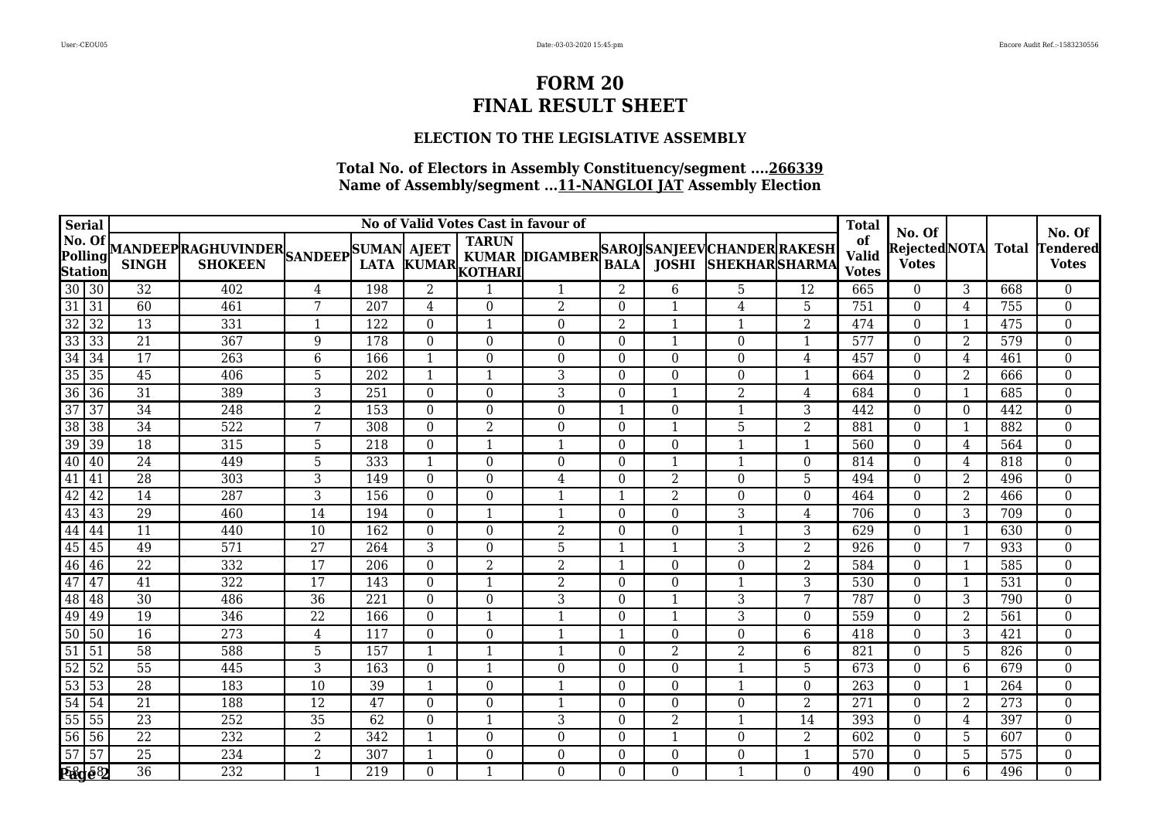## **ELECTION TO THE LEGISLATIVE ASSEMBLY**

| Serial                          |                                          |                 |                                                                          |                 |                  |                          |                               | No of Valid Votes Cast in favour of |                  |                  |                                                            |                  | <b>Total</b>                       |                                          |          |              |                                    |
|---------------------------------|------------------------------------------|-----------------|--------------------------------------------------------------------------|-----------------|------------------|--------------------------|-------------------------------|-------------------------------------|------------------|------------------|------------------------------------------------------------|------------------|------------------------------------|------------------------------------------|----------|--------------|------------------------------------|
| No. Of                          | Polling<br>Station<br>$30\overline{)30}$ | <b>SINGH</b>    | MANDEEPRAGHUVINDER<br>SINGH SHOKEEN SANDEEP LATA KUMAE<br><b>SHOKEEN</b> |                 | <b>LATA</b>      |                          | <b>TARUN</b><br>KUMAR KOTHARI | <b>KUMAR DIGAMBER</b>               | <b>BALA</b>      |                  | SAROJ SANJEEV CHANDER RAKESH<br><b>JOSHI SHEKHARSHARMA</b> |                  | of<br><b>Valid</b><br><b>Votes</b> | No. Of<br>Rejected NOTA <br><b>Votes</b> |          | <b>Total</b> | No. Of<br>Tendered<br><b>Votes</b> |
|                                 |                                          | 32              | 402                                                                      | 4               | 198              | $\overline{2}$           |                               | $\mathbf{1}$                        | 2                | 6                | 5                                                          | 12               | 665                                | $\theta$                                 | 3        | 668          | $\overline{0}$                     |
| $\overline{31}$                 | $\sqrt{31}$                              | 60              | 461                                                                      | 7               | 207              | 4                        | $\Omega$                      | $\overline{2}$                      | $\Omega$         | $\mathbf 1$      | 4                                                          | 5                | 751                                | $\theta$                                 | 4        | 755          | $\overline{0}$                     |
| 32                              | 32                                       | $\overline{13}$ | 331                                                                      | 1               | $\overline{122}$ | 0                        | 1                             | $\boldsymbol{0}$                    | $\overline{2}$   | 1                | -1                                                         | $\overline{2}$   | 474                                | $\mathbf{0}$                             | 1        | 475          | $\boldsymbol{0}$                   |
| $\frac{33}{34}$                 | 33                                       | 21              | 367                                                                      | 9               | 178              | $\boldsymbol{0}$         | $\Omega$                      | $\boldsymbol{0}$                    | $\boldsymbol{0}$ | $\mathbf{1}$     | $\Omega$                                                   | $\mathbf{1}$     | 577                                | $\theta$                                 | 2        | 579          | $\overline{0}$                     |
|                                 | 34                                       | $\overline{17}$ | 263                                                                      | $\,6\,$         | 166              | $\mathbf{1}$             | $\Omega$                      | $\Omega$                            | $\Omega$         | $\boldsymbol{0}$ | $\Omega$                                                   | 4                | 457                                | $\theta$                                 | 4        | 461          | $\overline{0}$                     |
| $\overline{35}$                 | 35                                       | $\overline{45}$ | 406                                                                      | $\overline{5}$  | 202              | $\mathbf{1}$             | $\mathbf{1}$                  | 3                                   | $\boldsymbol{0}$ | $\boldsymbol{0}$ | $\boldsymbol{0}$                                           | $\mathbf{1}$     | 664                                | $\mathbf{0}$                             | 2        | 666          | $\boldsymbol{0}$                   |
| $\overline{36}$                 | 36                                       | 31              | 389                                                                      | 3               | 251              | $\boldsymbol{0}$         | $\Omega$                      | 3                                   | $\Omega$         | $\mathbf{1}$     | 2                                                          | 4                | 684                                | $\theta$                                 | 1        | 685          | $\boldsymbol{0}$                   |
| $\frac{37}{38}$                 | 37                                       | $\overline{34}$ | 248                                                                      | $\overline{2}$  | 153              | $\boldsymbol{0}$         | $\overline{0}$                | $\boldsymbol{0}$                    | 1                | $\boldsymbol{0}$ | 1                                                          | 3                | 442                                | $\Omega$                                 | $\Omega$ | 442          | $\overline{0}$                     |
|                                 | 38                                       | 34              | 522                                                                      | 7               | 308              | $\boldsymbol{0}$         | $\overline{2}$                | $\boldsymbol{0}$                    | $\Omega$         | $\mathbf{1}$     | 5                                                          | $\overline{2}$   | 881                                | $\theta$                                 | 1        | 882          | $\mathbf{0}$                       |
| 39                              | 39                                       | 18              | 315                                                                      | 5               | 218              | $\boldsymbol{0}$         | $\mathbf{1}$                  | 1                                   | $\boldsymbol{0}$ | $\boldsymbol{0}$ | -1                                                         | $\mathbf{1}$     | 560                                | $\theta$                                 | 4        | 564          | $\mathbf{0}$                       |
| 40                              | $\sqrt{40}$                              | $\overline{24}$ | 449                                                                      | $\overline{5}$  | 333              | $\mathbf{1}$             | $\Omega$                      | $\boldsymbol{0}$                    | $\Omega$         | $\mathbf{1}$     |                                                            | $\theta$         | 814                                | $\Omega$                                 | 4        | 818          | $\boldsymbol{0}$                   |
| 41                              | 41                                       | 28              | 303                                                                      | 3               | 149              | $\boldsymbol{0}$         | $\Omega$                      | 4                                   | $\mathbf{0}$     | $\overline{2}$   | $\Omega$                                                   | 5                | 494                                | $\theta$                                 | 2        | 496          | $\boldsymbol{0}$                   |
| 42                              | $\overline{42}$                          | $\overline{14}$ | 287                                                                      | $\overline{3}$  | 156              | $\theta$                 | $\Omega$                      | $\mathbf{1}$                        | $\mathbf{1}$     | $\overline{2}$   | $\Omega$                                                   | $\theta$         | 464                                | $\Omega$                                 | 2        | 466          | $\overline{0}$                     |
| $\overline{43}$                 | 43                                       | 29              | 460                                                                      | $\overline{14}$ | 194              | $\mathbf{0}$             | $\mathbf{1}$                  | 1                                   | $\boldsymbol{0}$ | $\boldsymbol{0}$ | 3                                                          | 4                | 706                                | $\theta$                                 | 3        | 709          | $\mathbf{0}$                       |
| $\frac{44}{45}$ $\frac{45}{46}$ | 44                                       | 11              | 440                                                                      | 10              | 162              | $\boldsymbol{0}$         | $\Omega$                      | $\overline{2}$                      | $\Omega$         | $\boldsymbol{0}$ |                                                            | 3                | 629                                | $\theta$                                 |          | 630          | $\boldsymbol{0}$                   |
|                                 | 45                                       | 49              | 571                                                                      | $\overline{27}$ | 264              | 3                        | $\Omega$                      | 5                                   | $\mathbf 1$      | 1                | 3                                                          | $\overline{2}$   | 926                                | $\mathbf{0}$                             | 7        | 933          | $\boldsymbol{0}$                   |
|                                 | 46                                       | 22              | 332                                                                      | 17              | 206              | $\boldsymbol{0}$         | $\overline{2}$                | $\overline{2}$                      | 1                | $\boldsymbol{0}$ | $\Omega$                                                   | $\overline{2}$   | 584                                | $\mathbf{0}$                             |          | 585          | $\boldsymbol{0}$                   |
| 47                              | 47                                       | $\overline{41}$ | 322                                                                      | $\overline{17}$ | 143              | $\theta$                 | $\mathbf{1}$                  | $\overline{2}$                      | $\Omega$         | $\boldsymbol{0}$ | -1                                                         | 3                | 530                                | $\theta$                                 | -1       | 531          | $\mathbf{0}$                       |
| 48                              | 48                                       | $\overline{30}$ | 486                                                                      | $\overline{36}$ | 221              | $\mathbf{0}$             | $\Omega$                      | 3                                   | $\Omega$         |                  | 3                                                          | 7                | 787                                | $\theta$                                 | 3        | 790          | $\boldsymbol{0}$                   |
| $\frac{49}{50}$                 | 49                                       | 19              | 346                                                                      | 22              | 166              | $\boldsymbol{0}$         | $\mathbf{1}$                  | $\mathbf{1}$                        | $\Omega$         |                  | 3                                                          | $\theta$         | 559                                | $\theta$                                 | 2        | 561          | $\boldsymbol{0}$                   |
|                                 | 50                                       | $\overline{16}$ | 273                                                                      | 4               | 117              | $\boldsymbol{0}$         | $\Omega$                      | $\mathbf{1}$                        | $\mathbf{1}$     | $\boldsymbol{0}$ | $\Omega$                                                   | 6                | 418                                | $\mathbf{0}$                             | 3        | 421          | $\boldsymbol{0}$                   |
| $\overline{51}$                 | $\overline{51}$                          | $\overline{58}$ | 588                                                                      | $\overline{5}$  | 157              | $\mathbf{1}$             | $\mathbf{1}$                  | 1                                   | $\Omega$         | $\overline{2}$   | 2                                                          | 6                | 821                                | $\Omega$                                 | 5        | 826          | $\mathbf{0}$                       |
| $\overline{52}$                 | 52                                       | $\overline{55}$ | 445                                                                      | $\overline{3}$  | 163              | $\theta$                 | $\mathbf{1}$                  | $\Omega$                            | $\Omega$         | $\boldsymbol{0}$ | 1                                                          | 5                | 673                                | $\theta$                                 | 6        | 679          | $\boldsymbol{0}$                   |
| $\frac{53}{54}$                 | 53                                       | $\overline{28}$ | 183                                                                      | $\overline{10}$ | 39               | $\overline{\phantom{a}}$ | $\Omega$                      | 1                                   | $\boldsymbol{0}$ | $\boldsymbol{0}$ | -1                                                         | $\boldsymbol{0}$ | 263                                | $\theta$                                 |          | 264          | $\boldsymbol{0}$                   |
|                                 | 54                                       | 21              | 188                                                                      | 12              | 47               | $\mathbf{0}$             | $\Omega$                      | -1                                  | $\Omega$         | $\boldsymbol{0}$ | $\Omega$                                                   | $\overline{2}$   | 271                                | $\theta$                                 | 2        | 273          | $\boldsymbol{0}$                   |
| $\overline{55}$                 | $\overline{55}$                          | 23              | 252                                                                      | 35              | 62               | $\mathbf{0}$             | $\mathbf{1}$                  | $\overline{3}$                      | $\boldsymbol{0}$ | $\overline{2}$   |                                                            | 14               | 393                                | $\mathbf{0}$                             | 4        | 397          | $\mathbf{0}$                       |
| $\overline{56}$                 | 56                                       | $\overline{22}$ | $\overline{232}$                                                         | $\overline{2}$  | 342              | $\mathbf{1}$             | $\Omega$                      | $\Omega$                            | $\Omega$         | $\mathbf{1}$     | $\Omega$                                                   | $\overline{2}$   | 602                                | $\Omega$                                 | 5        | 607          | $\boldsymbol{0}$                   |
|                                 | 57 57                                    | 25              | 234                                                                      | $\overline{2}$  | 307              | $\overline{\phantom{a}}$ | $\Omega$                      | $\boldsymbol{0}$                    | $\Omega$         | $\boldsymbol{0}$ | $\Omega$                                                   | $\mathbf{1}$     | 570                                | $\theta$                                 | 5        | 575          | $\boldsymbol{0}$                   |
|                                 |                                          | $\overline{36}$ | 232                                                                      | $\mathbf{1}$    | 219              | $\theta$                 | 1                             | $\Omega$                            | $\Omega$         | $\boldsymbol{0}$ |                                                            | $\Omega$         | 490                                | $\theta$                                 | 6        | 496          | $\overline{0}$                     |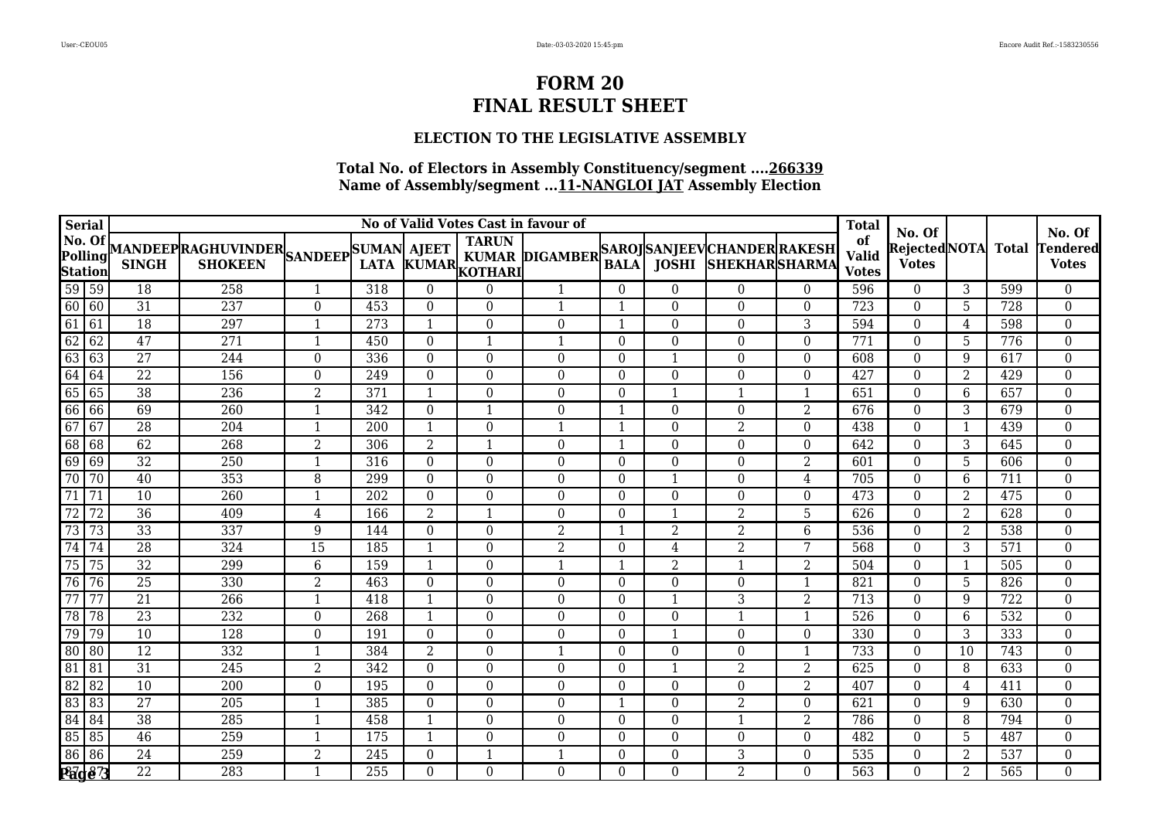## **ELECTION TO THE LEGISLATIVE ASSEMBLY**

| <b>Serial</b>                       |                 |                 |                                                                          |                  |                  |                  | No of Valid Votes Cast in favour of |                                             |                  |                  |                            |                         | <b>Total</b>                       | No. Of                        |                |                  | No. Of                          |
|-------------------------------------|-----------------|-----------------|--------------------------------------------------------------------------|------------------|------------------|------------------|-------------------------------------|---------------------------------------------|------------------|------------------|----------------------------|-------------------------|------------------------------------|-------------------------------|----------------|------------------|---------------------------------|
| No. Of<br>Polling<br><b>Station</b> |                 | <b>SINGH</b>    | MANDEEPRAGHUVINDER<br>SINGH SHOKEEN SANDEEP LATA KUMAL<br><b>SHOKEEN</b> |                  |                  |                  | LATA KUMAR KOTHARI                  | KUMAR DIGAMBER SAROJ SANJEEV CHANDER RAKESH | <b>BALA</b>      |                  | <b>JOSHI SHEKHARSHARMA</b> |                         | of<br><b>Valid</b><br><b>Votes</b> | Rejected NOTA<br><b>Votes</b> |                | Total            | <b>Tendered</b><br><b>Votes</b> |
| 59 59                               |                 | 18              | 258                                                                      | $\mathbf{1}$     | 318              | $\overline{0}$   | $\Omega$                            | $\mathbf 1$                                 | $\overline{0}$   | $\boldsymbol{0}$ | $\theta$                   | $\theta$                | 596                                | $\mathbf{0}$                  | 3              | 599              | $\overline{0}$                  |
| 60 60                               |                 | $\overline{31}$ | 237                                                                      | $\overline{0}$   | 453              | $\theta$         | $\theta$                            | $\mathbf{1}$                                | $\overline{1}$   | $\Omega$         | $\theta$                   | $\Omega$                | 723                                | $\theta$                      | 5              | 728              | $\overline{0}$                  |
| 61                                  | 61              | $\overline{18}$ | $\overline{297}$                                                         | $\mathbf{1}$     | $\overline{273}$ | $\mathbf{1}$     | $\Omega$                            | $\overline{0}$                              | $\mathbf{1}$     | $\Omega$         | $\Omega$                   | 3                       | 594                                | $\Omega$                      | $\overline{4}$ | 598              | $\overline{0}$                  |
| 62                                  | 62              | 47              | 271                                                                      | $\mathbf{1}$     | 450              | $\mathbf{0}$     | $\mathbf{1}$                        | $\mathbf{1}$                                | $\boldsymbol{0}$ | $\boldsymbol{0}$ | $\Omega$                   | $\mathbf 0$             | 771                                | $\theta$                      | $5\phantom{.}$ | 776              | $\boldsymbol{0}$                |
| 63                                  | 63              | $\overline{27}$ | 244                                                                      | $\boldsymbol{0}$ | 336              | $\mathbf{0}$     | $\theta$                            | $\Omega$                                    | $\boldsymbol{0}$ | 1                | $\Omega$                   | $\theta$                | 608                                | $\boldsymbol{0}$              | 9              | 617              | $\boldsymbol{0}$                |
| 64                                  | 64              | $\overline{22}$ | 156                                                                      | $\boldsymbol{0}$ | 249              | $\boldsymbol{0}$ | $\Omega$                            | $\Omega$                                    | $\Omega$         | $\boldsymbol{0}$ | $\theta$                   | $\theta$                | 427                                | $\theta$                      | 2              | 429              | $\boldsymbol{0}$                |
| 65                                  | 65              | $\overline{38}$ | 236                                                                      | $\overline{2}$   | 371              | $\mathbf{1}$     | $\Omega$                            | $\overline{0}$                              | $\boldsymbol{0}$ | $\mathbf{1}$     | $\mathbf{1}$               | $\overline{\mathbf{1}}$ | 651                                | $\theta$                      | 6              | 657              | $\overline{0}$                  |
| 66                                  | 66              | 69              | 260                                                                      | $\mathbf{1}$     | 342              | $\boldsymbol{0}$ | $\mathbf{1}$                        | $\Omega$                                    | $\mathbf{1}$     | $\boldsymbol{0}$ | $\overline{0}$             | $\overline{2}$          | 676                                | $\theta$                      | 3              | 679              | $\boldsymbol{0}$                |
| 67                                  | 67              | 28              | 204                                                                      | $\mathbf{1}$     | 200              | $\mathbf{1}$     | $\theta$                            | $\mathbf{1}$                                | $\mathbf{1}$     | $\boldsymbol{0}$ | $\overline{2}$             | $\theta$                | 438                                | $\theta$                      |                | 439              | $\boldsymbol{0}$                |
| 68                                  | 68              | 62              | 268                                                                      | $\overline{2}$   | 306              | $\overline{2}$   | $\mathbf{1}$                        | $\boldsymbol{0}$                            | $\mathbf{1}$     | $\boldsymbol{0}$ | $\overline{0}$             | $\boldsymbol{0}$        | 642                                | $\theta$                      | 3              | 645              | $\boldsymbol{0}$                |
| 69                                  | 69              | $\overline{32}$ | $\overline{250}$                                                         | $\mathbf{1}$     | 316              | $\mathbf{0}$     | $\Omega$                            | $\Omega$                                    | $\boldsymbol{0}$ | $\boldsymbol{0}$ | $\Omega$                   | $\overline{2}$          | 601                                | $\Omega$                      | 5              | 606              | $\boldsymbol{0}$                |
| 70                                  | 70              | 40              | 353                                                                      | 8                | 299              | $\boldsymbol{0}$ | $\Omega$                            | $\overline{0}$                              | $\Omega$         | $\mathbf{1}$     | $\Omega$                   | 4                       | 705                                | $\theta$                      | 6              | 711              | $\overline{0}$                  |
| $\overline{71}$                     | 71              | $\overline{10}$ | $\overline{260}$                                                         | $\mathbf{1}$     | $\overline{202}$ | $\mathbf{0}$     | $\Omega$                            | $\boldsymbol{0}$                            | $\boldsymbol{0}$ | $\boldsymbol{0}$ | $\overline{0}$             | $\boldsymbol{0}$        | 473                                | $\mathbf{0}$                  | 2              | 475              | $\boldsymbol{0}$                |
| $\overline{72}$                     | $\overline{72}$ | $\overline{36}$ | 409                                                                      | $\overline{4}$   | 166              | $\overline{2}$   | $\mathbf{1}$                        | $\overline{0}$                              | $\Omega$         | $\mathbf{1}$     | $\overline{2}$             | 5                       | 626                                | $\Omega$                      | 2              | 628              | $\boldsymbol{0}$                |
| $\overline{73}$                     | $\overline{73}$ | $\overline{33}$ | 337                                                                      | $9\,$            | 144              | $\boldsymbol{0}$ | $\Omega$                            | $\overline{2}$                              | $\mathbf{1}$     | $\overline{a}$   | $\overline{2}$             | 6                       | 536                                | $\theta$                      | $\overline{2}$ | 538              | $\boldsymbol{0}$                |
| 74                                  | 74              | $\overline{28}$ | 324                                                                      | $\overline{15}$  | 185              | $\mathbf{1}$     | $\Omega$                            | $\overline{2}$                              | $\boldsymbol{0}$ | $\overline{4}$   | $\overline{2}$             | 7                       | 568                                | $\theta$                      | 3              | $\overline{571}$ | $\boldsymbol{0}$                |
| 75                                  | 75              | 32              | 299                                                                      | $\,6\,$          | 159              | $\mathbf{1}$     | $\Omega$                            | $\mathbf{1}$                                | $\mathbf{1}$     | $\overline{2}$   | $\mathbf{1}$               | $\overline{2}$          | 504                                | $\theta$                      |                | 505              | $\boldsymbol{0}$                |
| 76                                  | 76              | $\overline{25}$ | 330                                                                      | $\overline{2}$   | 463              | $\theta$         | $\Omega$                            | $\Omega$                                    | $\Omega$         | $\boldsymbol{0}$ | $\Omega$                   | $\mathbf 1$             | 821                                | $\Omega$                      | 5              | 826              | $\boldsymbol{0}$                |
| $\overline{77}$                     | $\overline{77}$ | $\overline{21}$ | $\overline{266}$                                                         | $\mathbf{1}$     | 418              | $\mathbf{1}$     | $\theta$                            | $\Omega$                                    | $\boldsymbol{0}$ | $\mathbf{1}$     | 3                          | $\overline{2}$          | 713                                | $\mathbf{0}$                  | 9              | $\overline{722}$ | $\boldsymbol{0}$                |
| 78                                  | 78              | 23              | 232                                                                      | $\boldsymbol{0}$ | 268              | $\mathbf{1}$     | $\Omega$                            | $\boldsymbol{0}$                            | 0                | $\boldsymbol{0}$ | $\mathbf{1}$               | $\overline{1}$          | 526                                | $\boldsymbol{0}$              | 6              | 532              | $\overline{0}$                  |
| 79                                  | 79              | 10              | 128                                                                      | $\boldsymbol{0}$ | 191              | $\overline{0}$   | $\Omega$                            | $\Omega$                                    | $\Omega$         | 1                | $\theta$                   | $\theta$                | 330                                | $\theta$                      | 3              | 333              | $\boldsymbol{0}$                |
| 80                                  | 80              | $\overline{12}$ | 332                                                                      | $\mathbf{1}$     | 384              | $\overline{2}$   | $\theta$                            | $\mathbf{1}$                                | $\boldsymbol{0}$ | $\boldsymbol{0}$ | $\Omega$                   | $\mathbf{1}$            | 733                                | $\theta$                      | 10             | 743              | $\boldsymbol{0}$                |
| $\overline{81}$                     | 81              | 31              | 245                                                                      | $\overline{2}$   | 342              | $\boldsymbol{0}$ | $\theta$                            | $\overline{0}$                              | $\Omega$         | 1                | $\overline{2}$             | $\overline{2}$          | 625                                | $\theta$                      | 8              | 633              | $\overline{0}$                  |
| 82                                  | $\overline{82}$ | $\overline{10}$ | 200                                                                      | $\boldsymbol{0}$ | 195              | $\boldsymbol{0}$ | $\Omega$                            | $\Omega$                                    | $\Omega$         | $\boldsymbol{0}$ | $\boldsymbol{0}$           | $\overline{2}$          | 407                                | $\theta$                      | 4              | 411              | $\boldsymbol{0}$                |
| $\overline{83}$                     | 83              | $\overline{27}$ | 205                                                                      | $\mathbf{1}$     | 385              | $\boldsymbol{0}$ | $\Omega$                            | $\Omega$                                    | 1                | $\boldsymbol{0}$ | $\overline{2}$             | $\theta$                | 621                                | $\theta$                      | 9              | 630              | $\boldsymbol{0}$                |
| 84                                  | 84              | 38              | 285                                                                      | $\mathbf{1}$     | 458              | $\mathbf{1}$     | $\Omega$                            | $\overline{0}$                              | $\Omega$         | $\boldsymbol{0}$ | $\mathbf{1}$               | $\overline{2}$          | 786                                | $\Omega$                      | 8              | 794              | $\overline{0}$                  |
| 85                                  | 85              | 46              | 259                                                                      | $\mathbf{1}$     | 175              | $\mathbf{1}$     | $\Omega$                            | $\overline{0}$                              | $\Omega$         | $\Omega$         | $\Omega$                   | $\Omega$                | 482                                | $\theta$                      | 5              | 487              | $\boldsymbol{0}$                |
| $\overline{86}$                     | 86              | 24              | 259                                                                      | $\overline{2}$   | 245              | $\boldsymbol{0}$ | $\overline{\mathbf{1}}$             |                                             | $\Omega$         | $\boldsymbol{0}$ | 3                          | $\theta$                | 535                                | $\mathbf{0}$                  | 2              | 537              | $\overline{0}$                  |
|                                     | <b>Page 3</b>   | $\overline{22}$ | 283                                                                      | $\mathbf{1}$     | 255              | $\theta$         | $\Omega$                            | $\overline{0}$                              | $\Omega$         | $\boldsymbol{0}$ | $\overline{2}$             | $\Omega$                | 563                                | $\Omega$                      | $\overline{2}$ | 565              | $\overline{0}$                  |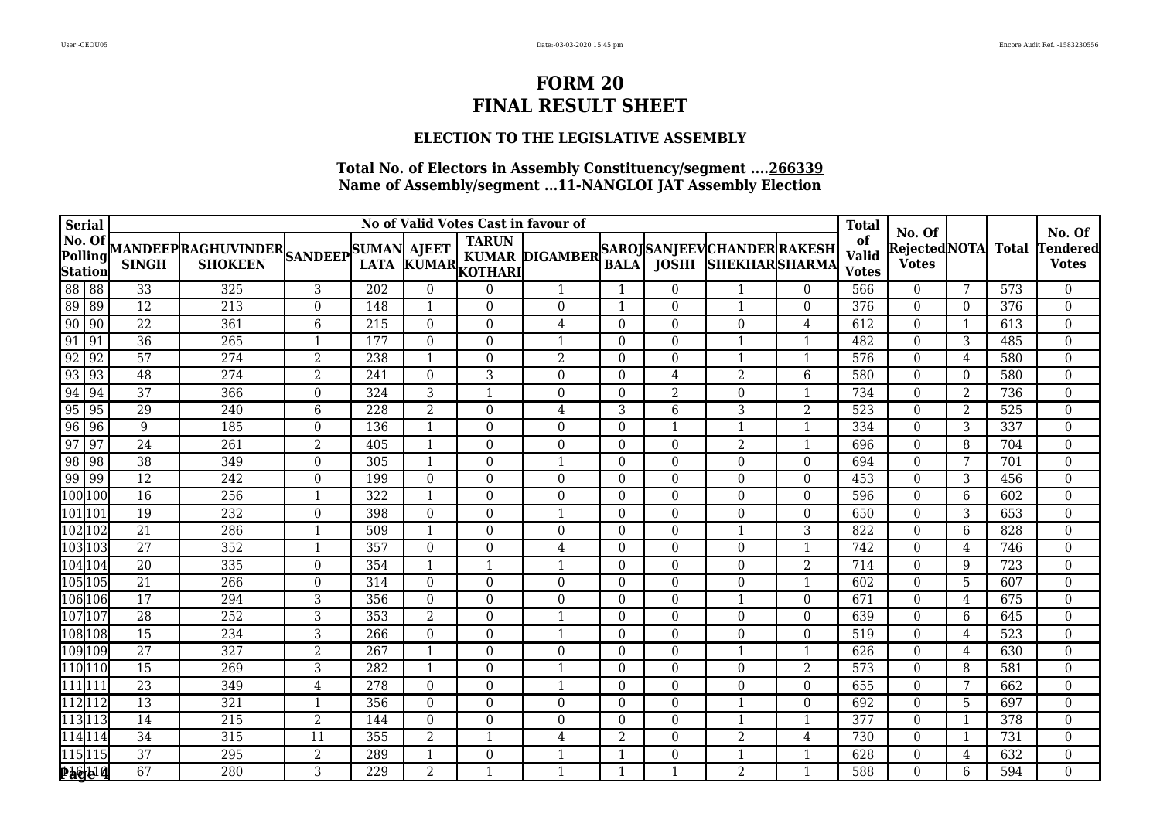## **ELECTION TO THE LEGISLATIVE ASSEMBLY**

| <b>Serial</b>                       |                 |                 |                                                                          |                  |     |                  |                         | No of Valid Votes Cast in favour of         |                  |                  |                            |                  | <b>Total</b>                       | No. Of                        |                |       | No. Of                          |
|-------------------------------------|-----------------|-----------------|--------------------------------------------------------------------------|------------------|-----|------------------|-------------------------|---------------------------------------------|------------------|------------------|----------------------------|------------------|------------------------------------|-------------------------------|----------------|-------|---------------------------------|
| No. Of<br>Polling<br><b>Station</b> |                 | <b>SINGH</b>    | MANDEEPRAGHUVINDER<br>SINGH SHOKEEN SANDEEP LATA KUMAL<br><b>SHOKEEN</b> |                  |     |                  | LATA KUMAR ROTHARD      | KUMAR DIGAMBER SAROJ SANJEEV CHANDER RAKESH | <b>BALA</b>      |                  | <b>JOSHI SHEKHARSHARMA</b> |                  | of<br><b>Valid</b><br><b>Votes</b> | Rejected NOTA<br><b>Votes</b> |                | Total | <b>Tendered</b><br><b>Votes</b> |
| 88 88                               |                 | 33              | 325                                                                      | 3                | 202 | $\overline{0}$   | $\Omega$                | $\mathbf{1}$                                | 1                | $\boldsymbol{0}$ | $\mathbf{1}$               | $\boldsymbol{0}$ | 566                                | $\mathbf{0}$                  | 7              | 573   | $\overline{0}$                  |
| $\overline{89}$                     | 89              | $\overline{12}$ | 213                                                                      | $\overline{0}$   | 148 | $\mathbf{1}$     | $\theta$                | $\Omega$                                    | $\overline{1}$   | $\Omega$         | $\mathbf{1}$               | $\Omega$         | 376                                | $\theta$                      | $\Omega$       | 376   | $\overline{0}$                  |
| $\overline{90}$                     | $\sqrt{90}$     | $\overline{22}$ | 361                                                                      | $6\phantom{1}6$  | 215 | $\mathbf{0}$     | $\Omega$                | $\overline{4}$                              | $\boldsymbol{0}$ | $\Omega$         | $\theta$                   | 4                | $\overline{612}$                   | $\Omega$                      | 1              | 613   | $\boldsymbol{0}$                |
| 91                                  | 91              | $\overline{36}$ | 265                                                                      | $\mathbf{1}$     | 177 | $\boldsymbol{0}$ | $\Omega$                | $\mathbf{1}$                                | $\boldsymbol{0}$ | $\boldsymbol{0}$ | 1                          | $\mathbf{1}$     | 482                                | $\mathbf{0}$                  | 3              | 485   | $\boldsymbol{0}$                |
| 92                                  | $\sqrt{92}$     | 57              | 274                                                                      | $\overline{2}$   | 238 | $\mathbf{1}$     | $\Omega$                | $\overline{2}$                              | $\boldsymbol{0}$ | $\boldsymbol{0}$ | $\mathbf{1}$               | $\overline{1}$   | 576                                | $\boldsymbol{0}$              | $\overline{4}$ | 580   | $\boldsymbol{0}$                |
| $\overline{93}$                     | $\sqrt{93}$     | 48              | $\overline{274}$                                                         | 2                | 241 | $\theta$         | 3                       | $\overline{0}$                              | $\Omega$         | 4                | 2                          | 6                | 580                                | $\theta$                      | $\theta$       | 580   | $\boldsymbol{0}$                |
| 94                                  | 94              | $\overline{37}$ | 366                                                                      | $\boldsymbol{0}$ | 324 | $\overline{3}$   | $\overline{1}$          | $\overline{0}$                              | $\boldsymbol{0}$ | $\overline{2}$   | $\overline{0}$             | $\overline{1}$   | 734                                | $\mathbf{0}$                  | 2              | 736   | $\overline{0}$                  |
| 95                                  | 95              | 29              | 240                                                                      | $\,6\,$          | 228 | $\overline{2}$   | $\Omega$                | $\overline{4}$                              | 3                | 6                | 3                          | $\overline{2}$   | $\overline{523}$                   | $\theta$                      | 2              | 525   | $\boldsymbol{0}$                |
| 96                                  | 96              | 9               | 185                                                                      | $\boldsymbol{0}$ | 136 | $\mathbf{1}$     | $\theta$                | $\Omega$                                    | $\Omega$         | $\mathbf{1}$     | 1                          | $\mathbf 1$      | 334                                | $\theta$                      | 3              | 337   | $\boldsymbol{0}$                |
| 97                                  | $\overline{97}$ | $\overline{24}$ | 261                                                                      | $\overline{2}$   | 405 | $\mathbf{1}$     | $\theta$                | $\boldsymbol{0}$                            | $\boldsymbol{0}$ | $\boldsymbol{0}$ | 2                          | $\mathbf{1}$     | 696                                | $\theta$                      | 8              | 704   | $\boldsymbol{0}$                |
| 98                                  | 98              | $\overline{38}$ | $\overline{349}$                                                         | $\boldsymbol{0}$ | 305 | $\mathbf{1}$     | $\Omega$                | $\mathbf 1$                                 | $\boldsymbol{0}$ | $\boldsymbol{0}$ | $\Omega$                   | $\boldsymbol{0}$ | 694                                | $\Omega$                      | 7              | 701   | $\boldsymbol{0}$                |
| 99                                  | $\sqrt{99}$     | $\overline{12}$ | 242                                                                      | $\mathbf 0$      | 199 | $\boldsymbol{0}$ | $\Omega$                | $\overline{0}$                              | $\Omega$         | $\boldsymbol{0}$ | $\Omega$                   | $\theta$         | 453                                | $\theta$                      | 3              | 456   | $\boldsymbol{0}$                |
| 100 100                             |                 | $\overline{16}$ | $\overline{256}$                                                         | $\mathbf{1}$     | 322 | $\mathbf{1}$     | $\Omega$                | $\theta$                                    | $\boldsymbol{0}$ | $\boldsymbol{0}$ | $\Omega$                   | $\boldsymbol{0}$ | 596                                | $\mathbf{0}$                  | 6              | 602   | $\boldsymbol{0}$                |
| 101 101                             |                 | 19              | 232                                                                      | $\boldsymbol{0}$ | 398 | $\boldsymbol{0}$ | $\Omega$                |                                             | $\Omega$         | $\boldsymbol{0}$ | $\Omega$                   | $\theta$         | 650                                | $\theta$                      | 3              | 653   | $\boldsymbol{0}$                |
| 102102                              |                 | $\overline{21}$ | 286                                                                      | 1                | 509 | $\mathbf{1}$     | $\Omega$                | $\Omega$                                    | $\theta$         | $\boldsymbol{0}$ | $\mathbf{1}$               | 3                | 822                                | $\theta$                      | 6              | 828   | $\boldsymbol{0}$                |
| $\overline{103}$ 103                |                 | $\overline{27}$ | 352                                                                      | $\mathbf{1}$     | 357 | $\boldsymbol{0}$ | $\mathbf{0}$            | 4                                           | $\overline{0}$   | $\boldsymbol{0}$ | $\boldsymbol{0}$           | $\mathbf{1}$     | 742                                | $\theta$                      | 4              | 746   | $\boldsymbol{0}$                |
| 104104                              |                 | 20              | 335                                                                      | $\boldsymbol{0}$ | 354 | $\mathbf{1}$     | $\overline{\mathbf{1}}$ |                                             | $\boldsymbol{0}$ | $\boldsymbol{0}$ | $\Omega$                   | $\overline{2}$   | 714                                | $\theta$                      | 9              | 723   | $\boldsymbol{0}$                |
| 105 105                             |                 | $\overline{21}$ | 266                                                                      | $\boldsymbol{0}$ | 314 | $\theta$         | $\theta$                | $\Omega$                                    | $\Omega$         | $\boldsymbol{0}$ | $\theta$                   | $\mathbf 1$      | 602                                | $\theta$                      | 5              | 607   | $\boldsymbol{0}$                |
| 106 106                             |                 | 17              | 294                                                                      | $\overline{3}$   | 356 | $\boldsymbol{0}$ | $\theta$                | $\overline{0}$                              | $\boldsymbol{0}$ | $\boldsymbol{0}$ | 1                          | $\boldsymbol{0}$ | 671                                | $\mathbf{0}$                  | 4              | 675   | $\boldsymbol{0}$                |
| 107 107                             |                 | 28              | 252                                                                      | $\sqrt{3}$       | 353 | $\overline{2}$   | $\theta$                | $\mathbf{1}$                                | $\boldsymbol{0}$ | $\boldsymbol{0}$ | $\overline{0}$             | $\mathbf{0}$     | 639                                | $\boldsymbol{0}$              | 6              | 645   | $\overline{0}$                  |
| 108 108                             |                 | $\overline{15}$ | 234                                                                      | 3                | 266 | $\mathbf{0}$     | $\Omega$                |                                             | $\Omega$         | $\boldsymbol{0}$ | $\Omega$                   | $\theta$         | 519                                | $\theta$                      | 4              | 523   | $\boldsymbol{0}$                |
| 109 109                             |                 | $\overline{27}$ | 327                                                                      | $\overline{2}$   | 267 | $\mathbf{1}$     | $\theta$                | $\overline{0}$                              | $\overline{0}$   | $\boldsymbol{0}$ | $\mathbf{1}$               | $\mathbf 1$      | 626                                | $\theta$                      | 4              | 630   | $\boldsymbol{0}$                |
| 110 110                             |                 | 15              | 269                                                                      | $\overline{3}$   | 282 | $\mathbf{1}$     | $\theta$                | $\mathbf{1}$                                | $\Omega$         | $\boldsymbol{0}$ | $\Omega$                   | $\overline{2}$   | 573                                | $\Omega$                      | 8              | 581   | $\overline{0}$                  |
| 111 111                             |                 | $\overline{23}$ | 349                                                                      | $\overline{4}$   | 278 | $\boldsymbol{0}$ | $\Omega$                | -1                                          | $\Omega$         | $\boldsymbol{0}$ | $\overline{0}$             | $\theta$         | 655                                | $\theta$                      | 7              | 662   | $\boldsymbol{0}$                |
| 112112                              |                 | $\overline{13}$ | 321                                                                      | 1                | 356 | $\mathbf{0}$     | $\Omega$                | $\Omega$                                    | $\Omega$         | $\boldsymbol{0}$ | $\mathbf{1}$               | $\theta$         | 692                                | $\theta$                      | 5              | 697   | $\boldsymbol{0}$                |
| 113113                              |                 | 14              | 215                                                                      | $\overline{2}$   | 144 | $\boldsymbol{0}$ | $\Omega$                | $\overline{0}$                              | $\Omega$         | $\boldsymbol{0}$ | $\mathbf{1}$               | $\overline{1}$   | 377                                | $\theta$                      |                | 378   | $\overline{0}$                  |
| 114 114                             |                 | 34              | 315                                                                      | $\overline{11}$  | 355 | $\overline{2}$   | 1                       | $\overline{4}$                              | $\overline{2}$   | $\Omega$         | $\overline{2}$             | 4                | 730                                | $\theta$                      |                | 731   | $\boldsymbol{0}$                |
| 115 115                             |                 | 37              | 295                                                                      | $\overline{2}$   | 289 |                  | $\theta$                | -1                                          | $\mathbf{1}$     | $\boldsymbol{0}$ | $\mathbf{1}$               | $\mathbf 1$      | 628                                | $\mathbf{0}$                  | 4              | 632   | $\overline{0}$                  |
|                                     | 24.4            | 67              | 280                                                                      | $\overline{3}$   | 229 | $\overline{2}$   | $\overline{\mathbf{1}}$ |                                             | $\mathbf{1}$     | $\mathbf{1}$     | $\overline{2}$             | $\mathbf 1$      | 588                                | $\theta$                      | 6              | 594   | $\overline{0}$                  |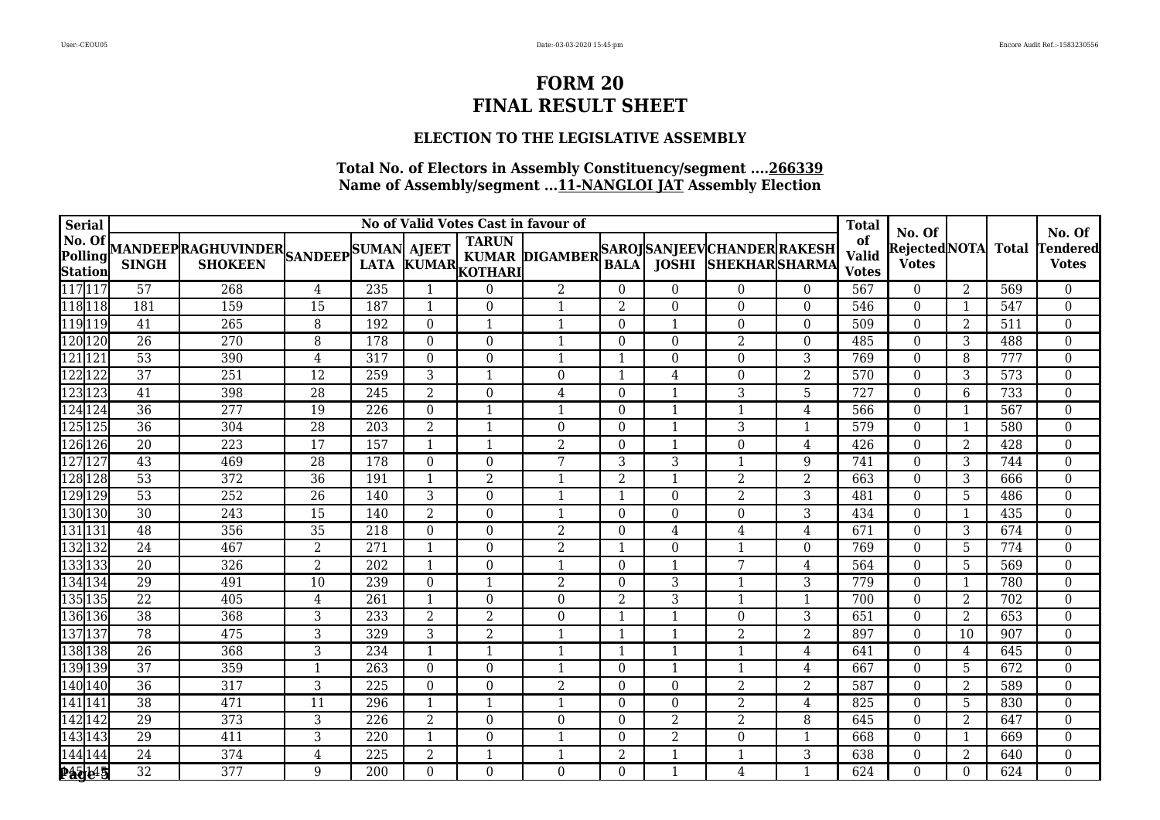## **ELECTION TO THE LEGISLATIVE ASSEMBLY**

| <b>Serial</b>                       |                 |                                                           |                 |                  |                  |                    | No of Valid Votes Cast in favour of         |                  |                  |                       |                | <b>Total</b>                       | No. Of                        |                |                  | No. Of                          |
|-------------------------------------|-----------------|-----------------------------------------------------------|-----------------|------------------|------------------|--------------------|---------------------------------------------|------------------|------------------|-----------------------|----------------|------------------------------------|-------------------------------|----------------|------------------|---------------------------------|
| No. Of<br>Polling<br><b>Station</b> | <b>SINGH</b>    | MANDEEP RAGHUVINDER SANDEEP SUMAN AJEET<br><b>SHOKEEN</b> |                 |                  |                  | LATA KUMAR KOTHARI | KUMAR DIGAMBER SAROJ SANJEEV CHANDER RAKESH | <b>BALA</b>      | <b>JOSHI</b>     | <b>SHEKHAR SHARMA</b> |                | of<br><b>Valid</b><br><b>Votes</b> | Rejected NOTA<br><b>Votes</b> |                | <b>Total</b>     | <b>Tendered</b><br><b>Votes</b> |
| 117 117                             | 57              | 268                                                       | 4               | 235              | $\mathbf{1}$     | $\Omega$           | $\overline{2}$                              | $\overline{0}$   | $\boldsymbol{0}$ | $\theta$              | $\theta$       | 567                                | $\mathbf{0}$                  | $\overline{2}$ | 569              | $\overline{0}$                  |
| 118 118                             | 181             | 159                                                       | 15              | 187              | $\mathbf{1}$     | $\theta$           | $\mathbf{1}$                                | 2                | $\Omega$         | $\theta$              | $\Omega$       | 546                                | $\theta$                      | 1              | 547              | $\overline{0}$                  |
| 119 119                             | $\overline{41}$ | 265                                                       | 8               | 192              | $\mathbf{0}$     | $\mathbf{1}$       | $\mathbf{1}$                                | $\Omega$         | $\mathbf{1}$     | $\Omega$              | $\overline{0}$ | 509                                | $\Omega$                      | 2              | 511              | $\overline{0}$                  |
| 120 120                             | $\overline{26}$ | 270                                                       | 8               | 178              | $\boldsymbol{0}$ | $\Omega$           | $\mathbf{1}$                                | $\boldsymbol{0}$ | $\boldsymbol{0}$ | $\overline{2}$        | $\mathbf 0$    | 485                                | $\theta$                      | 3              | 488              | $\boldsymbol{0}$                |
| 121 121                             | 53              | 390                                                       | $\,4\,$         | 317              | $\mathbf{0}$     | $\Omega$           | $\mathbf{1}$                                | $\mathbf{1}$     | $\boldsymbol{0}$ | $\Omega$              | 3              | 769                                | $\boldsymbol{0}$              | 8              | 777              | $\boldsymbol{0}$                |
| 122 122                             | $\overline{37}$ | $\overline{251}$                                          | $\overline{12}$ | 259              | 3                | -1                 | $\Omega$                                    | $\overline{1}$   | 4                | $\Omega$              | $\overline{2}$ | $\overline{570}$                   | $\theta$                      | 3              | 573              | 0                               |
| 123123                              | 41              | 398                                                       | $\overline{28}$ | 245              | $\overline{2}$   | $\Omega$           | $\overline{4}$                              | $\boldsymbol{0}$ | 1                | $\overline{3}$        | 5              | 727                                | $\theta$                      | 6              | 733              | $\overline{0}$                  |
| 124 124                             | $\overline{36}$ | $\overline{277}$                                          | 19              | 226              | $\boldsymbol{0}$ | $\mathbf{1}$       | $\mathbf{1}$                                | $\boldsymbol{0}$ | 1                | $\mathbf{1}$          | 4              | 566                                | $\theta$                      |                | 567              | $\boldsymbol{0}$                |
| 125125                              | 36              | 304                                                       | 28              | 203              | $\overline{2}$   | $\mathbf{1}$       | $\Omega$                                    | $\Omega$         | $\mathbf{1}$     | 3                     | $\mathbf{1}$   | 579                                | $\theta$                      |                | 580              | $\boldsymbol{0}$                |
| 126 126                             | $\overline{20}$ | 223                                                       | $\overline{17}$ | 157              | $\mathbf{1}$     | $\mathbf{1}$       | $\overline{2}$                              | $\boldsymbol{0}$ | 1                | $\overline{0}$        | 4              | 426                                | $\theta$                      | 2              | 428              | $\boldsymbol{0}$                |
| 127127                              | $\overline{43}$ | 469                                                       | $\overline{28}$ | 178              | $\boldsymbol{0}$ | $\theta$           | 7                                           | 3                | 3                | $\mathbf{1}$          | 9              | 741                                | $\theta$                      | 3              | 744              | $\boldsymbol{0}$                |
| 128 128                             | 53              | 372                                                       | 36              | 191              | $\mathbf{1}$     | 2                  | $\mathbf{1}$                                | $\overline{2}$   | $\mathbf{1}$     | $\overline{2}$        | $\overline{2}$ | 663                                | $\theta$                      | 3              | 666              | $\overline{0}$                  |
| 129 129                             | $\overline{53}$ | 252                                                       | $\overline{26}$ | 140              | 3                | $\Omega$           | $\mathbf{1}$                                | $\mathbf{1}$     | $\boldsymbol{0}$ | $\overline{2}$        | $\overline{3}$ | 481                                | $\mathbf{0}$                  | 5              | 486              | $\boldsymbol{0}$                |
| 130 130                             | $\overline{30}$ | 243                                                       | $\overline{15}$ | 140              | $\overline{2}$   | $\Omega$           |                                             | $\Omega$         | $\boldsymbol{0}$ | $\Omega$              | 3              | 434                                | $\Omega$                      | $\mathbf{1}$   | 435              | $\boldsymbol{0}$                |
| 131131                              | 48              | 356                                                       | 35              | 218              | $\boldsymbol{0}$ | $\Omega$           | $\overline{2}$                              | $\theta$         | 4                | 4                     | 4              | 671                                | $\theta$                      | 3              | 674              | $\boldsymbol{0}$                |
| 132132                              | $\overline{24}$ | 467                                                       | $\overline{2}$  | $\overline{271}$ | $\mathbf{1}$     | $\Omega$           | $\overline{2}$                              | 1                | $\boldsymbol{0}$ | $\mathbf{1}$          | $\mathbf{0}$   | 769                                | $\theta$                      | 5              | 774              | $\boldsymbol{0}$                |
| 133133                              | 20              | 326                                                       | $\overline{2}$  | 202              | $\mathbf{1}$     | $\Omega$           | $\mathbf{1}$                                | $\boldsymbol{0}$ | 1                | 7                     | 4              | 564                                | $\mathbf{0}$                  | $5\phantom{.}$ | 569              | $\boldsymbol{0}$                |
| 134 134                             | 29              | 491                                                       | 10              | 239              | $\theta$         | $\mathbf{1}$       | $\overline{2}$                              | $\Omega$         | 3                | $\mathbf{1}$          | 3              | 779                                | $\theta$                      |                | 780              | $\boldsymbol{0}$                |
| 135 135                             | $\overline{22}$ | $\overline{405}$                                          | $\overline{4}$  | $\overline{261}$ | $\mathbf{1}$     | $\theta$           | $\overline{0}$                              | $\overline{2}$   | 3                | $\mathbf{1}$          | $\mathbf{1}$   | $\overline{700}$                   | $\mathbf{0}$                  | 2              | $\overline{702}$ | $\boldsymbol{0}$                |
| 136 136                             | 38              | 368                                                       | $\sqrt{3}$      | 233              | $\overline{2}$   | $\overline{2}$     | $\overline{0}$                              | $\mathbf{1}$     | $\overline{1}$   | $\Omega$              | 3              | 651                                | $\boldsymbol{0}$              | $\overline{2}$ | 653              | $\overline{0}$                  |
| 137137                              | 78              | 475                                                       | 3               | 329              | 3                | $\overline{2}$     |                                             | 1                | 1                | $\overline{2}$        | $\overline{2}$ | 897                                | $\theta$                      | 10             | 907              | $\boldsymbol{0}$                |
| 138 138                             | $\overline{26}$ | 368                                                       | $\overline{3}$  | 234              | $\mathbf{1}$     | $\mathbf{1}$       | $\mathbf 1$                                 | $\mathbf 1$      | $\mathbf{1}$     | $\mathbf{1}$          | 4              | 641                                | $\theta$                      | 4              | 645              | $\boldsymbol{0}$                |
| 139139                              | 37              | 359                                                       | $\mathbf{1}$    | 263              | $\boldsymbol{0}$ | $\theta$           | $\mathbf{1}$                                | $\theta$         | $\mathbf 1$      | $\mathbf{1}$          | 4              | 667                                | $\Omega$                      | $5\phantom{.}$ | 672              | $\overline{0}$                  |
| 140 140                             | $\overline{36}$ | $\overline{317}$                                          | $\overline{3}$  | $\overline{225}$ | $\boldsymbol{0}$ | $\Omega$           | $\overline{2}$                              | $\Omega$         | $\boldsymbol{0}$ | $\overline{2}$        | $\overline{2}$ | 587                                | $\theta$                      | 2              | 589              | $\boldsymbol{0}$                |
| 141 141                             | $\overline{38}$ | 471                                                       | 11              | 296              | $\mathbf{1}$     |                    |                                             | $\Omega$         | $\boldsymbol{0}$ | $\overline{2}$        | 4              | 825                                | $\theta$                      | 5              | 830              | $\boldsymbol{0}$                |
| 142 142                             | 29              | 373                                                       | $\overline{3}$  | 226              | $\overline{2}$   | $\theta$           | $\overline{0}$                              | $\Omega$         | $\overline{2}$   | $\overline{2}$        | 8              | 645                                | $\Omega$                      | 2              | 647              | $\overline{0}$                  |
| 143 143                             | 29              | 411                                                       | $\overline{3}$  | 220              | $\mathbf{1}$     | $\Omega$           |                                             | $\Omega$         | $\overline{2}$   | $\Omega$              | $\mathbf 1$    | 668                                | $\theta$                      |                | 669              | $\boldsymbol{0}$                |
| 144 144                             | 24              | 374                                                       | $\overline{4}$  | 225              | $\overline{2}$   | 1                  | -1                                          | $\overline{2}$   | $\mathbf{1}$     | $\mathbf{1}$          | 3              | 638                                | $\mathbf{0}$                  | 2              | 640              | $\overline{0}$                  |
| 24545                               | $\overline{32}$ | 377                                                       | 9               | 200              | $\mathbf{0}$     | $\Omega$           | $\overline{0}$                              | $\Omega$         | $\mathbf{1}$     | 4                     | $\mathbf 1$    | 624                                | $\Omega$                      | $\theta$       | 624              | $\overline{0}$                  |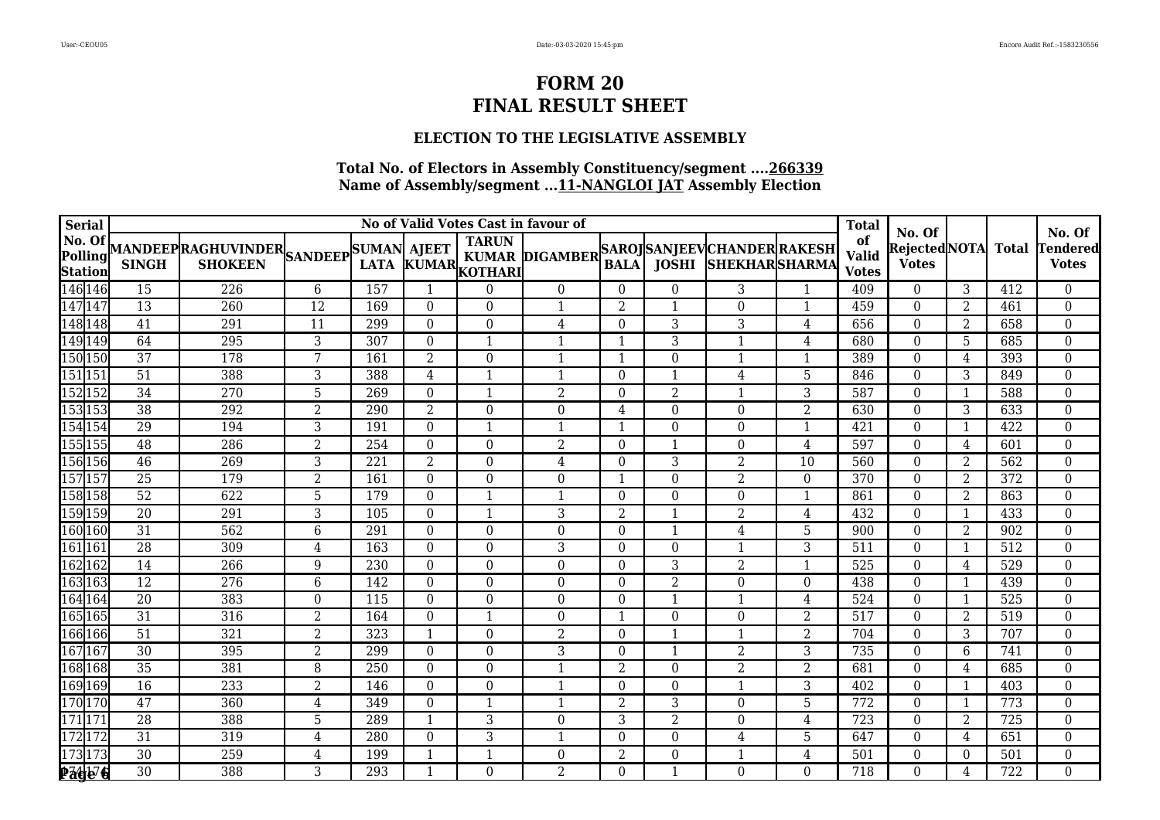## **ELECTION TO THE LEGISLATIVE ASSEMBLY**

| Serial                                                  |                 |                                                           |                  |             |                  | No of Valid Votes Cast in favour of |                       |                  |                  |                                                               |                | <b>Total</b>                       | No. Of                       |                |                  | No. Of                          |
|---------------------------------------------------------|-----------------|-----------------------------------------------------------|------------------|-------------|------------------|-------------------------------------|-----------------------|------------------|------------------|---------------------------------------------------------------|----------------|------------------------------------|------------------------------|----------------|------------------|---------------------------------|
| No. Of<br>Polling<br>$\frac{\textbf{Station}}{146 146}$ | <b>SINGH</b>    | MANDEEP RAGHUVINDER SANDEEP SUMAN AJEET<br><b>SHOKEEN</b> |                  | <b>LATA</b> |                  | <b>TARUN</b><br>KUMAR KOTHARI       | <b>KUMAR DIGAMBER</b> | <b>BALA</b>      |                  | SAROJ  SANJEEV  CHANDER  RAKESH<br><b>JOSHI SHEKHARSHARMA</b> |                | of<br><b>Valid</b><br><b>Votes</b> | RejectedNOTA<br><b>Votes</b> |                | Total            | <b>Tendered</b><br><b>Votes</b> |
|                                                         | 15              | 226                                                       | $\,6\,$          | 157         | $\mathbf{1}$     | $\Omega$                            | $\overline{0}$        | $\overline{0}$   | $\boldsymbol{0}$ | 3                                                             | $\mathbf{1}$   | 409                                | $\overline{0}$               | 3              | 412              | $\overline{0}$                  |
| 147 147                                                 | 13              | 260                                                       | $\overline{12}$  | 169         | $\Omega$         | $\Omega$                            | $\mathbf{1}$          | $\overline{2}$   | 1                | $\Omega$                                                      | $\mathbf{1}$   | 459                                | $\theta$                     | 2              | 461              | $\overline{0}$                  |
| 148 148                                                 | $\overline{41}$ | 291                                                       | $\overline{11}$  | 299         | $\mathbf{0}$     | $\overline{0}$                      | 4                     | $\boldsymbol{0}$ | 3                | 3                                                             | 4              | 656                                | $\theta$                     | $\overline{2}$ | 658              | $\mathbf{0}$                    |
| 149 149<br>150 150                                      | 64              | 295                                                       | $\overline{3}$   | 307         | $\boldsymbol{0}$ | $\mathbf{1}$                        | $\mathbf{1}$          | $\mathbf{1}$     | 3                | -1                                                            | 4              | 680                                | $\Omega$                     | 5              | 685              | $\overline{0}$                  |
|                                                         | $\overline{37}$ | 178                                                       | 7                | 161         | $\overline{2}$   | $\Omega$                            |                       | $\mathbf{1}$     | $\boldsymbol{0}$ |                                                               | $\mathbf{1}$   | 389                                | $\Omega$                     | $\overline{4}$ | 393              | $\boldsymbol{0}$                |
| 151 151                                                 | $\overline{51}$ | 388                                                       | 3                | 388         | 4                | 1                                   | 1                     | $\overline{0}$   | $\mathbf{1}$     | 4                                                             | 5              | 846                                | $\theta$                     | 3              | 849              | $\boldsymbol{0}$                |
| 152 152                                                 | $\overline{34}$ | 270                                                       | $\overline{5}$   | 269         | $\boldsymbol{0}$ | $\mathbf{1}$                        | $\overline{2}$        | $\boldsymbol{0}$ | $\overline{2}$   | -1                                                            | 3              | 587                                | $\Omega$                     | 1              | 588              | $\overline{0}$                  |
| 153 153                                                 | $\overline{38}$ | 292                                                       | $\overline{2}$   | 290         | $\overline{2}$   | $\Omega$                            | $\boldsymbol{0}$      | 4                | $\boldsymbol{0}$ | $\Omega$                                                      | $\overline{2}$ | 630                                | $\Omega$                     | 3              | 633              | $\boldsymbol{0}$                |
| 154 154                                                 | $\overline{29}$ | 194                                                       | 3                | 191         | $\boldsymbol{0}$ | 1                                   | 1                     | $\mathbf{1}$     | $\boldsymbol{0}$ | $\Omega$                                                      | $\mathbf{1}$   | 421                                | $\Omega$                     | 1              | 422              | $\boldsymbol{0}$                |
| 155 155                                                 | $\overline{48}$ | 286                                                       | $\overline{2}$   | 254         | $\mathbf{0}$     | $\Omega$                            | $\overline{2}$        | $\boldsymbol{0}$ | $\mathbf{1}$     | $\Omega$                                                      | 4              | 597                                | $\theta$                     | 4              | 601              | $\overline{0}$                  |
| 156 156                                                 | 46              | 269                                                       | 3                | 221         | $\overline{2}$   | $\Omega$                            | $\overline{4}$        | $\boldsymbol{0}$ | 3                | 2                                                             | 10             | 560                                | $\theta$                     | 2              | 562              | $\boldsymbol{0}$                |
| 157 157                                                 | 25              | 179                                                       | $\overline{2}$   | 161         | $\overline{0}$   | $\Omega$                            | $\boldsymbol{0}$      | $\mathbf{1}$     | $\boldsymbol{0}$ | 2                                                             | $\theta$       | 370                                | $\theta$                     | 2              | 372              | $\boldsymbol{0}$                |
| 158 158                                                 | $\overline{52}$ | 622                                                       | 5                | 179         | $\boldsymbol{0}$ | $\mathbf{1}$                        | $\mathbf{1}$          | $\boldsymbol{0}$ | $\boldsymbol{0}$ | $\Omega$                                                      | $\mathbf{1}$   | 861                                | $\mathbf{0}$                 | $\overline{2}$ | 863              | $\boldsymbol{0}$                |
| 159 159                                                 | $\overline{20}$ | 291                                                       | 3                | 105         | $\mathbf{0}$     | $\mathbf{1}$                        | 3                     | $\overline{2}$   |                  | 2                                                             | 4              | 432                                | $\theta$                     | $\mathbf{1}$   | 433              | $\boldsymbol{0}$                |
| 160 160                                                 | $\overline{31}$ | 562                                                       | $\,6\,$          | 291         | $\boldsymbol{0}$ | $\Omega$                            | $\Omega$              | $\Omega$         |                  | 4                                                             | 5              | 900                                | $\theta$                     | $\overline{2}$ | 902              | $\boldsymbol{0}$                |
| 161161<br>162162                                        | $\overline{28}$ | 309                                                       | $\overline{4}$   | 163         | $\boldsymbol{0}$ | $\Omega$                            | 3                     | $\boldsymbol{0}$ | $\boldsymbol{0}$ | 1                                                             | 3              | $\overline{511}$                   | $\overline{0}$               |                | $\overline{512}$ | $\boldsymbol{0}$                |
|                                                         | 14              | 266                                                       | $\boldsymbol{9}$ | 230         | $\boldsymbol{0}$ | $\Omega$                            | $\Omega$              | $\boldsymbol{0}$ | 3                | $\overline{2}$                                                | $\mathbf{1}$   | 525                                | $\theta$                     | 4              | 529              | $\boldsymbol{0}$                |
| 163 163                                                 | $\overline{12}$ | 276                                                       | $\,6\,$          | 142         | $\Omega$         | $\Omega$                            | $\Omega$              | $\Omega$         | $\overline{2}$   | $\Omega$                                                      | $\theta$       | 438                                | $\theta$                     | $\mathbf{1}$   | 439              | $\overline{0}$                  |
| 164 164                                                 | $\overline{20}$ | 383                                                       | $\boldsymbol{0}$ | 115         | $\mathbf{0}$     | $\Omega$                            | $\Omega$              | $\boldsymbol{0}$ |                  |                                                               | $\overline{4}$ | 524                                | $\boldsymbol{0}$             | 1              | $\overline{525}$ | $\boldsymbol{0}$                |
| 165 165                                                 | 31              | 316                                                       | $\overline{2}$   | 164         | $\boldsymbol{0}$ | $\mathbf 1$                         | $\boldsymbol{0}$      | $\mathbf{1}$     | $\boldsymbol{0}$ | $\Omega$                                                      | $\overline{2}$ | 517                                | $\theta$                     | $\overline{2}$ | 519              | $\boldsymbol{0}$                |
| 166 166                                                 | $\overline{51}$ | 321                                                       | $\overline{2}$   | 323         | $\mathbf{1}$     | $\Omega$                            | $\overline{2}$        | $\Omega$         | $\mathbf{1}$     |                                                               | $\overline{2}$ | 704                                | $\theta$                     | 3              | 707              | $\boldsymbol{0}$                |
| 167 167                                                 | $\overline{30}$ | 395                                                       | $\overline{2}$   | 299         | $\mathbf{0}$     | $\Omega$                            | $\overline{3}$        | $\boldsymbol{0}$ | $\mathbf 1$      | 2                                                             | 3              | 735                                | $\theta$                     | 6              | 741              | $\mathbf{0}$                    |
| 168 168                                                 | 35              | 381                                                       | 8                | 250         | $\mathbf{0}$     | $\overline{0}$                      | $\mathbf{1}$          | $\overline{2}$   | $\boldsymbol{0}$ | $\overline{2}$                                                | $\overline{2}$ | 681                                | $\theta$                     | 4              | 685              | $\overline{0}$                  |
| 169 169                                                 | $\overline{16}$ | 233                                                       | $\overline{2}$   | 146         | $\boldsymbol{0}$ | $\Omega$                            | $\mathbf{1}$          | $\Omega$         | $\boldsymbol{0}$ |                                                               | 3              | 402                                | $\theta$                     |                | 403              | $\boldsymbol{0}$                |
| 170 170                                                 | $\overline{47}$ | 360                                                       | 4                | 349         | $\theta$         | 1                                   |                       | $\overline{2}$   | 3                | $\Omega$                                                      | 5              | 772                                | $\theta$                     |                | 773              | $\boldsymbol{0}$                |
| 171 171                                                 | 28              | 388                                                       | $\overline{5}$   | 289         | $\overline{1}$   | $\overline{3}$                      | $\boldsymbol{0}$      | $\overline{3}$   | $\overline{2}$   | $\Omega$                                                      | $\overline{4}$ | 723                                | $\Omega$                     | 2              | 725              | $\overline{0}$                  |
| 172 172                                                 | $\overline{31}$ | 319                                                       | $\overline{4}$   | 280         | $\boldsymbol{0}$ | 3                                   | $\mathbf{1}$          | $\Omega$         | $\boldsymbol{0}$ | 4                                                             | 5              | 647                                | $\Omega$                     | 4              | 651              | $\boldsymbol{0}$                |
| 173 173<br>Page <sup>7</sup> 6                          | 30              | 259                                                       | $\overline{4}$   | 199         | $\overline{1}$   | $\mathbf 1$                         | 0                     | $\overline{2}$   | $\boldsymbol{0}$ |                                                               | 4              | 501                                | $\theta$                     | $\Omega$       | 501              | $\boldsymbol{0}$                |
|                                                         | $\overline{30}$ | 388                                                       | $\overline{3}$   | 293         | $\mathbf{1}$     | $\Omega$                            | $\overline{2}$        | $\overline{0}$   | $\mathbf{1}$     | $\Omega$                                                      | $\Omega$       | 718                                | $\Omega$                     | 4              | 722              | $\overline{0}$                  |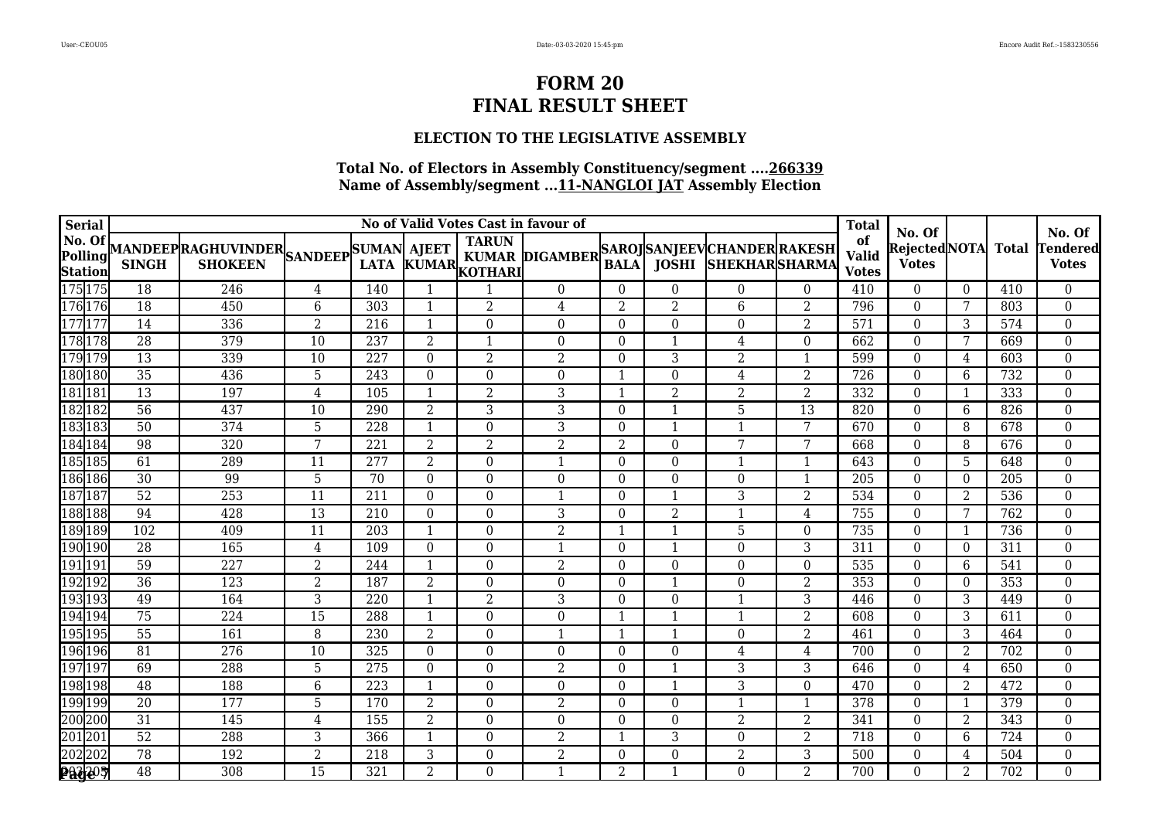### **ELECTION TO THE LEGISLATIVE ASSEMBLY**

| <b>Serial</b>                               |                 |                                                           |                 |                  |                          | No of Valid Votes Cast in favour of |                       |                  |                  |                                                               |                  | <b>Total</b>                       | No. Of                       |                |                  | No. Of                          |
|---------------------------------------------|-----------------|-----------------------------------------------------------|-----------------|------------------|--------------------------|-------------------------------------|-----------------------|------------------|------------------|---------------------------------------------------------------|------------------|------------------------------------|------------------------------|----------------|------------------|---------------------------------|
| No. Of<br>Polling<br>Station<br>175 175     | <b>SINGH</b>    | MANDEEP RAGHUVINDER SANDEEP SUMAN AJEET<br><b>SHOKEEN</b> |                 |                  |                          | <b>TARUN</b><br>LATA KUMAR KOTHARI  | <b>KUMAR DIGAMBER</b> | <b>BALA</b>      |                  | SAROJ  SANJEEV  CHANDER  RAKESH<br><b>JOSHI SHEKHARSHARMA</b> |                  | of<br><b>Valid</b><br><b>Votes</b> | RejectedNOTA<br><b>Votes</b> |                | <b>Total</b>     | <b>Tendered</b><br><b>Votes</b> |
|                                             | 18              | 246                                                       | 4               | 140              | $\overline{\phantom{a}}$ |                                     | $\Omega$              | $\Omega$         | $\boldsymbol{0}$ | $\Omega$                                                      | $\theta$         | 410                                | $\theta$                     | $\Omega$       | 410              | $\boldsymbol{0}$                |
| 176 176                                     | 18              | 450                                                       | 6               | 303              | $\overline{\phantom{0}}$ | $\overline{2}$                      | $\overline{4}$        | $\overline{2}$   | $\overline{2}$   | 6                                                             | $\overline{2}$   | 796                                | $\theta$                     | 7              | 803              | $\mathbf{0}$                    |
| 177 177                                     | $\overline{14}$ | 336                                                       | $\overline{2}$  | 216              | $\mathbf{1}$             | $\Omega$                            | $\Omega$              | $\Omega$         | $\Omega$         | $\Omega$                                                      | $\overline{2}$   | 571                                | $\theta$                     | 3              | 574              | $\overline{0}$                  |
| 178 178                                     | 28              | 379                                                       | 10              | 237              | $\overline{2}$           | $\mathbf{1}$                        | $\boldsymbol{0}$      | $\overline{0}$   |                  | 4                                                             | $\boldsymbol{0}$ | 662                                | $\theta$                     | 7              | 669              | $\overline{0}$                  |
| 179 179                                     | $\overline{13}$ | 339                                                       | $\overline{10}$ | 227              | $\theta$                 | $\overline{2}$                      | $\overline{2}$        | $\Omega$         | 3                | 2                                                             | -1               | 599                                | $\theta$                     | 4              | 603              | $\boldsymbol{0}$                |
| 180 180                                     | $\overline{35}$ | 436                                                       | 5               | 243              | $\theta$                 | $\Omega$                            | $\Omega$              | $\mathbf 1$      | $\boldsymbol{0}$ | 4                                                             | $\overline{2}$   | $\overline{726}$                   | $\theta$                     | 6              | 732              | $\boldsymbol{0}$                |
| 181 181                                     | 13              | 197                                                       | $\overline{4}$  | 105              | $\overline{\phantom{a}}$ | $\overline{2}$                      | 3                     | $\mathbf{1}$     | $\overline{2}$   | $\overline{2}$                                                | $\overline{2}$   | 332                                | $\theta$                     |                | 333              | $\boldsymbol{0}$                |
| 182 182                                     | $\overline{56}$ | 437                                                       | 10              | 290              | $\overline{2}$           | 3                                   | 3                     | $\Omega$         |                  | 5                                                             | 13               | 820                                | $\Omega$                     | 6              | 826              | $\boldsymbol{0}$                |
| 183 183                                     | $\overline{50}$ | 374                                                       | $\overline{5}$  | 228              | $\mathbf{1}$             | $\Omega$                            | 3                     | $\Omega$         | 1                |                                                               | 7                | 670                                | $\mathbf{0}$                 | 8              | 678              | $\boldsymbol{0}$                |
| 184 184                                     | 98              | 320                                                       | 7               | 221              | $\overline{2}$           | 2                                   | $\overline{2}$        | $\overline{2}$   | $\overline{0}$   | 7                                                             | 7                | 668                                | $\theta$                     | 8              | 676              | $\boldsymbol{0}$                |
| 185 185                                     | 61              | 289                                                       | 11              | $\overline{277}$ | $\overline{2}$           | $\Omega$                            |                       | $\Omega$         | $\theta$         |                                                               | 1                | 643                                | $\theta$                     | 5              | 648              | $\boldsymbol{0}$                |
| 186 186                                     | 30              | 99                                                        | 5               | 70               | $\mathbf{0}$             | $\Omega$                            | $\boldsymbol{0}$      | $\boldsymbol{0}$ | $\boldsymbol{0}$ | $\Omega$                                                      | $\mathbf{1}$     | 205                                | $\boldsymbol{0}$             | $\Omega$       | 205              | $\overline{0}$                  |
| 187 187                                     | 52              | 253                                                       | 11              | 211              | $\Omega$                 | $\Omega$                            |                       | $\Omega$         | $\mathbf{1}$     | 3                                                             | $\overline{2}$   | 534                                | $\theta$                     | 2              | 536              | $\boldsymbol{0}$                |
| 188 188                                     | 94              | 428                                                       | $\overline{13}$ | 210              | $\theta$                 | $\Omega$                            | $\overline{3}$        | $\Omega$         | $\overline{2}$   |                                                               | 4                | 755                                | $\theta$                     | 7              | 762              | $\boldsymbol{0}$                |
| 189 189                                     | 102             | 409                                                       | 11              | 203              | $\mathbf{1}$             | $\Omega$                            | $\overline{2}$        | $\mathbf{1}$     |                  | 5                                                             | $\theta$         | 735                                | $\theta$                     |                | 736              | $\boldsymbol{0}$                |
| 190 190<br>191 191                          | $\overline{28}$ | 165                                                       | 4               | 109              | 0                        | $\Omega$                            | $\mathbf{1}$          | $\boldsymbol{0}$ |                  | $\Omega$                                                      | 3                | 311                                | $\theta$                     | $\Omega$       | 311              | $\boldsymbol{0}$                |
|                                             | $\overline{59}$ | 227                                                       | $\overline{2}$  | 244              | $\overline{\phantom{0}}$ | $\Omega$                            | $\overline{2}$        | $\Omega$         | $\boldsymbol{0}$ | $\theta$                                                      | $\theta$         | 535                                | $\theta$                     | 6              | 541              | $\boldsymbol{0}$                |
| 192 192                                     | 36              | 123                                                       | $\overline{2}$  | 187              | $\overline{2}$           | $\Omega$                            | $\overline{0}$        | $\boldsymbol{0}$ | $\mathbf{1}$     | $\Omega$                                                      | $\overline{2}$   | 353                                | $\Omega$                     | $\Omega$       | 353              | $\overline{0}$                  |
| 193 193                                     | $\overline{49}$ | 164                                                       | $\overline{3}$  | 220              | $\mathbf{1}$             | $\overline{2}$                      | 3                     | $\Omega$         | $\boldsymbol{0}$ |                                                               | 3                | 446                                | $\theta$                     | 3              | 449              | $\boldsymbol{0}$                |
| 194 194                                     | $\overline{75}$ | 224                                                       | $\overline{15}$ | 288              | $\overline{\phantom{a}}$ | $\Omega$                            | $\boldsymbol{0}$      | $\mathbf 1$      |                  |                                                               | $\overline{2}$   | 608                                | $\mathbf{0}$                 | 3              | 611              | $\boldsymbol{0}$                |
| 195 195                                     | $\overline{55}$ | 161                                                       | 8               | 230              | $\overline{2}$           | $\Omega$                            |                       | $\mathbf{1}$     | $\mathbf{1}$     | $\Omega$                                                      | $\overline{2}$   | 461                                | $\theta$                     | 3              | 464              | $\boldsymbol{0}$                |
| 196 196                                     | $\overline{81}$ | 276                                                       | $\overline{10}$ | 325              | $\mathbf{0}$             | $\Omega$                            | $\Omega$              | $\overline{0}$   | $\boldsymbol{0}$ | 4                                                             | 4                | 700                                | $\Omega$                     | 2              | 702              | $\mathbf{0}$                    |
| 197 197                                     | 69              | 288                                                       | 5               | 275              | $\mathbf{0}$             | $\Omega$                            | $\overline{2}$        | $\Omega$         | $\mathbf{1}$     | 3                                                             | 3                | 646                                | $\Omega$                     | 4              | 650              | $\boldsymbol{0}$                |
| 198 198                                     | 48              | 188                                                       | $\,6\,$         | 223              | $\overline{1}$           | $\Omega$                            | $\boldsymbol{0}$      | $\boldsymbol{0}$ |                  | 3                                                             | $\theta$         | 470                                | $\Omega$                     | 2              | 472              | $\boldsymbol{0}$                |
| 199 199                                     | 20              | 177                                                       | 5               | 170              | $\overline{2}$           | $\Omega$                            | $\overline{2}$        | $\Omega$         | $\boldsymbol{0}$ |                                                               | 1                | 378                                | $\theta$                     |                | 379              | $\boldsymbol{0}$                |
|                                             | $\overline{31}$ | 145                                                       | $\overline{4}$  | 155              | $\overline{2}$           | $\Omega$                            | $\boldsymbol{0}$      | $\boldsymbol{0}$ | $\boldsymbol{0}$ | $\overline{2}$                                                | $\overline{2}$   | 341                                | $\theta$                     | $\overline{2}$ | 343              | $\boldsymbol{0}$                |
|                                             | $\overline{52}$ | 288                                                       | 3               | 366              | $\mathbf{1}$             | $\Omega$                            | $\overline{2}$        | $\mathbf{1}$     | 3                | $\Omega$                                                      | $\overline{2}$   | $\overline{718}$                   | $\theta$                     | 6              | $\overline{724}$ | $\boldsymbol{0}$                |
|                                             | 78              | 192                                                       | $\overline{2}$  | 218              | 3                        | $\Omega$                            | $\overline{2}$        | $\Omega$         | $\boldsymbol{0}$ | 2                                                             | 3                | 500                                | $\theta$                     | 4              | 504              | $\boldsymbol{0}$                |
| 200200<br>201201<br>202202<br><b>PACCOP</b> | 48              | 308                                                       | $\overline{15}$ | 321              | $\overline{2}$           | $\Omega$                            | $\mathbf{1}$          | $\overline{2}$   |                  | $\Omega$                                                      | $\overline{2}$   | 700                                | $\theta$                     | $\overline{2}$ | 702              | $\overline{0}$                  |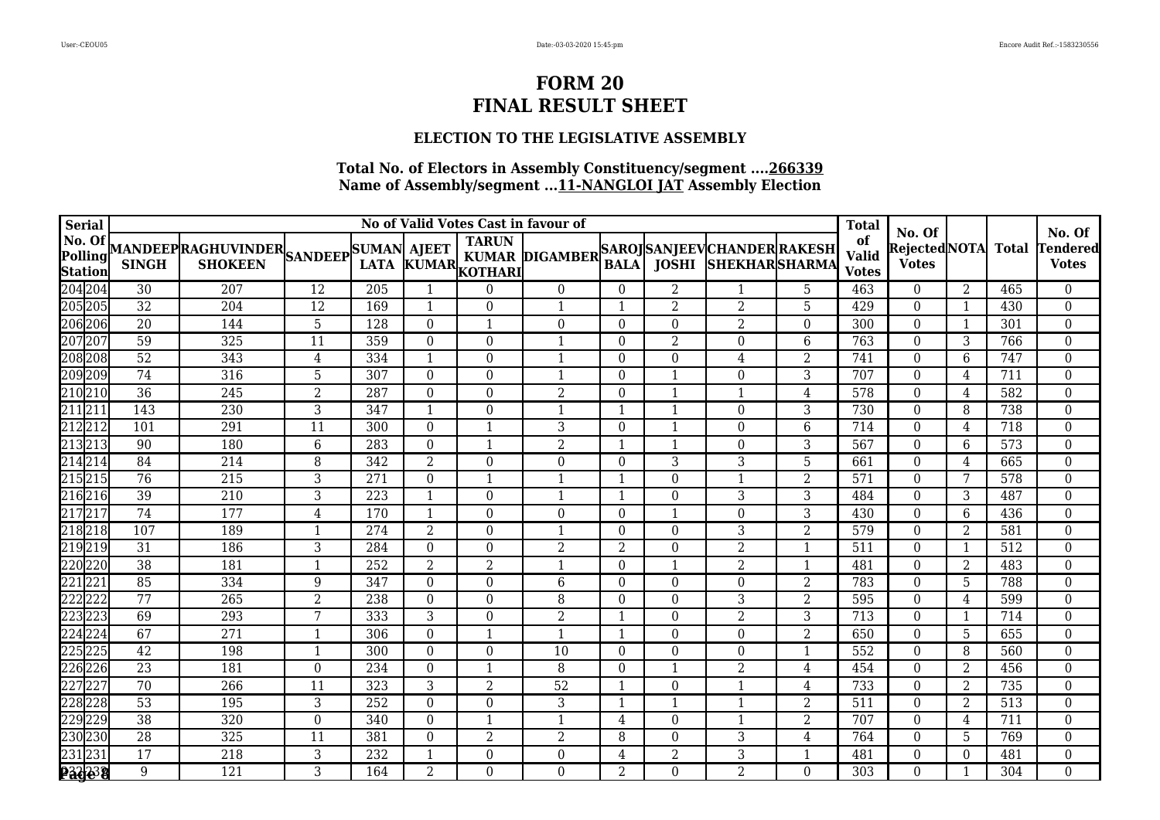## **ELECTION TO THE LEGISLATIVE ASSEMBLY**

| <b>Serial</b>                              |                  |                                                           |                  |     |                  |                         | No of Valid Votes Cast in favour of         |                         |                  |                            |                | <b>Total</b>                       | No. Of                        |                |              | No. Of                   |
|--------------------------------------------|------------------|-----------------------------------------------------------|------------------|-----|------------------|-------------------------|---------------------------------------------|-------------------------|------------------|----------------------------|----------------|------------------------------------|-------------------------------|----------------|--------------|--------------------------|
| No. Of<br><b>Polling</b><br><b>Station</b> | <b>SINGH</b>     | MANDEEP RAGHUVINDER SANDEEP SUMAN AJEET<br><b>SHOKEEN</b> |                  |     |                  | LATA KUMAR KOTHARI      | KUMAR DIGAMBER SAROJ SANJEEV CHANDER RAKESH | <b>BALA</b>             |                  | <b>JOSHI SHEKHARSHARMA</b> |                | of<br><b>Valid</b><br><b>Votes</b> | Rejected NOTA<br><b>Votes</b> |                | <b>Total</b> | Tendered<br><b>Votes</b> |
| 204 204                                    | 30               | 207                                                       | 12               | 205 |                  | $\Omega$                | $\Omega$                                    | $\Omega$                | 2                | 1                          | 5              | 463                                | $\theta$                      | 2              | 465          | $\overline{0}$           |
| 205 205                                    | 32               | 204                                                       | $\overline{12}$  | 169 | $\mathbf{1}$     | $\Omega$                |                                             | $\mathbf{1}$            | 2                | 2                          | 5              | 429                                | $\theta$                      |                | 430          | $\overline{0}$           |
| 206 206                                    | $\overline{20}$  | 144                                                       | 5                | 128 | $\theta$         | $\mathbf 1$             | $\Omega$                                    | $\theta$                | $\Omega$         | $\overline{2}$             | $\theta$       | 300                                | $\theta$                      |                | 301          | $\overline{0}$           |
| 207 207                                    | 59               | 325                                                       | 11               | 359 | $\boldsymbol{0}$ | $\Omega$                | $\mathbf{1}$                                | $\Omega$                | $\overline{2}$   | $\Omega$                   | 6              | 763                                | $\theta$                      | 3              | 766          | $\boldsymbol{0}$         |
| 208 208                                    | 52               | 343                                                       | 4                | 334 | $\mathbf{1}$     | $\Omega$                |                                             | $\Omega$                | $\Omega$         | 4                          | 2              | 741                                | $\theta$                      | 6              | 747          | 0                        |
| 209209                                     | 74               | 316                                                       | 5                | 307 | $\theta$         | $\Omega$                |                                             | $\Omega$                | 1                | $\Omega$                   | 3              | 707                                | $\theta$                      | 4              | 711          | $\Omega$                 |
| 210 210                                    | 36               | 245                                                       | $\overline{2}$   | 287 | $\boldsymbol{0}$ | $\Omega$                | $\overline{2}$                              | $\theta$                | $\mathbf{1}$     | 1                          | 4              | 578                                | $\theta$                      | 4              | 582          | $\boldsymbol{0}$         |
| 211 211                                    | $\overline{143}$ | 230                                                       | 3                | 347 | -1               | $\theta$                | -1                                          | $\mathbf{1}$            | 1                | $\Omega$                   | 3              | 730                                | $\theta$                      | 8              | 738          | 0                        |
| 212 212                                    | 101              | 291                                                       | 11               | 300 | $\mathbf{0}$     | $\overline{\mathbf{1}}$ | 3                                           | $\Omega$                | $\mathbf{1}$     | $\Omega$                   | 6              | 714                                | $\theta$                      | 4              | 718          | $\boldsymbol{0}$         |
| 213 213                                    | 90               | 180                                                       | $\,6\,$          | 283 | $\theta$         | $\overline{\mathbf{1}}$ | 2                                           | 1                       | $\mathbf{1}$     | $\Omega$                   | 3              | 567                                | $\Omega$                      | 6              | 573          | $\boldsymbol{0}$         |
| 214 214                                    | $\overline{84}$  | $\overline{214}$                                          | 8                | 342 | $\overline{2}$   | $\Omega$                | $\Omega$                                    | $\theta$                | 3                | 3                          | 5              | 661                                | $\theta$                      | 4              | 665          | $\boldsymbol{0}$         |
| 215 215                                    | 76               | 215                                                       | $\mathbf{3}$     | 271 | $\boldsymbol{0}$ | $\overline{\mathbf{1}}$ | $\overline{1}$                              | $\overline{\mathbf{1}}$ | $\boldsymbol{0}$ | $\mathbf 1$                | $\overline{2}$ | 571                                | $\boldsymbol{0}$              | 7              | 578          | $\boldsymbol{0}$         |
| 216 216                                    | 39               | 210                                                       | 3                | 223 | $\mathbf{1}$     | $\Omega$                |                                             | 1                       | $\Omega$         | 3                          | 3              | 484                                | $\theta$                      | 3              | 487          | 0                        |
| 217217                                     | 74               | 177                                                       | $\overline{4}$   | 170 | $\mathbf{1}$     | $\Omega$                | $\Omega$                                    | $\theta$                | 1                | $\Omega$                   | 3              | 430                                | $\Omega$                      | 6              | 436          | 0                        |
| 218 218                                    | 107              | 189                                                       | $\mathbf{1}$     | 274 | $\overline{2}$   | $\theta$                |                                             | $\theta$                | $\boldsymbol{0}$ | 3                          | $\overline{2}$ | 579                                | $\theta$                      | $\overline{2}$ | 581          | $\boldsymbol{0}$         |
| 219 219                                    | $\overline{31}$  | 186                                                       | 3                | 284 | $\mathbf{0}$     | $\Omega$                | 2                                           | $\overline{2}$          | $\boldsymbol{0}$ | $\overline{2}$             | $\mathbf 1$    | 511                                | $\theta$                      |                | 512          | 0                        |
| 220 220                                    | $\overline{38}$  | 181                                                       | $\mathbf{1}$     | 252 | $\overline{2}$   | $\overline{2}$          |                                             | $\Omega$                | 1                | $\overline{2}$             | $\overline{1}$ | 481                                | $\theta$                      | 2              | 483          | $\boldsymbol{0}$         |
| 221 221                                    | 85               | 334                                                       | $9\,$            | 347 | $\boldsymbol{0}$ | $\Omega$                | 6                                           | $\Omega$                | $\boldsymbol{0}$ | $\Omega$                   | $\overline{2}$ | 783                                | $\theta$                      | 5              | 788          | $\boldsymbol{0}$         |
| 222 222                                    | $\overline{77}$  | $\overline{265}$                                          | $\overline{2}$   | 238 | $\boldsymbol{0}$ | $\Omega$                | 8                                           | $\Omega$                | $\Omega$         | 3                          | $\overline{2}$ | 595                                | $\theta$                      | 4              | 599          | $\boldsymbol{0}$         |
| 223 223                                    | 69               | 293                                                       | 7                | 333 | 3                | $\Omega$                | $\overline{2}$                              | $\mathbf{1}$            | $\boldsymbol{0}$ | $\overline{2}$             | 3              | 713                                | $\mathbf{0}$                  |                | 714          | 0                        |
| 224 224                                    | 67               | 271                                                       | $\mathbf{1}$     | 306 | $\boldsymbol{0}$ |                         |                                             | $\mathbf{1}$            | $\boldsymbol{0}$ | $\Omega$                   | $\overline{2}$ | 650                                | $\theta$                      | 5              | 655          | $\boldsymbol{0}$         |
| 225225                                     | $\overline{42}$  | 198                                                       | 1                | 300 | $\theta$         | $\Omega$                | $\overline{10}$                             | $\Omega$                | $\Omega$         | $\Omega$                   | $\mathbf 1$    | 552                                | $\Omega$                      | 8              | 560          | $\theta$                 |
| 226 226                                    | $\overline{23}$  | 181                                                       | $\boldsymbol{0}$ | 234 | $\boldsymbol{0}$ | $\overline{\mathbf{1}}$ | 8                                           | $\boldsymbol{0}$        | 1                | $\overline{2}$             | 4              | 454                                | $\theta$                      | $\overline{2}$ | 456          | $\boldsymbol{0}$         |
| 227227                                     | $\overline{70}$  | 266                                                       | 11               | 323 | 3                | $\overline{2}$          | $\overline{52}$                             | 1                       | $\boldsymbol{0}$ | 1                          | 4              | 733                                | $\theta$                      | 2              | 735          | $\boldsymbol{0}$         |
| 228 228                                    | $\overline{53}$  | 195                                                       | 3                | 252 | $\mathbf{0}$     | $\Omega$                | 3                                           | -1                      | 1                | -1                         | 2              | 511                                | $\theta$                      | 2              | 513          | 0                        |
| 229229                                     | $\overline{38}$  | 320                                                       | $\boldsymbol{0}$ | 340 | $\boldsymbol{0}$ | $\overline{\mathbf{1}}$ | $\mathbf{1}$                                | $\overline{4}$          | $\boldsymbol{0}$ | $\mathbf{1}$               | $\overline{2}$ | 707                                | $\theta$                      | 4              | 711          | $\boldsymbol{0}$         |
| 230 230                                    | $\overline{28}$  | 325                                                       | $\overline{11}$  | 381 | $\boldsymbol{0}$ | $\overline{2}$          | $\overline{2}$                              | 8                       | $\Omega$         | 3                          | 4              | 764                                | $\theta$                      | 5              | 769          | $\boldsymbol{0}$         |
| 231231                                     | 17               | 218                                                       | 3                | 232 |                  | $\Omega$                | $\Omega$                                    | 4                       | $\overline{2}$   | 3                          | $\mathbf 1$    | 481                                | $\theta$                      | $\Omega$       | 481          | 0                        |
| 23332                                      | $\overline{9}$   | 121                                                       | $\overline{3}$   | 164 | $\overline{2}$   | $\Omega$                | $\Omega$                                    | $\overline{2}$          | $\boldsymbol{0}$ | $\overline{2}$             | $\Omega$       | 303                                | $\theta$                      |                | 304          | $\overline{0}$           |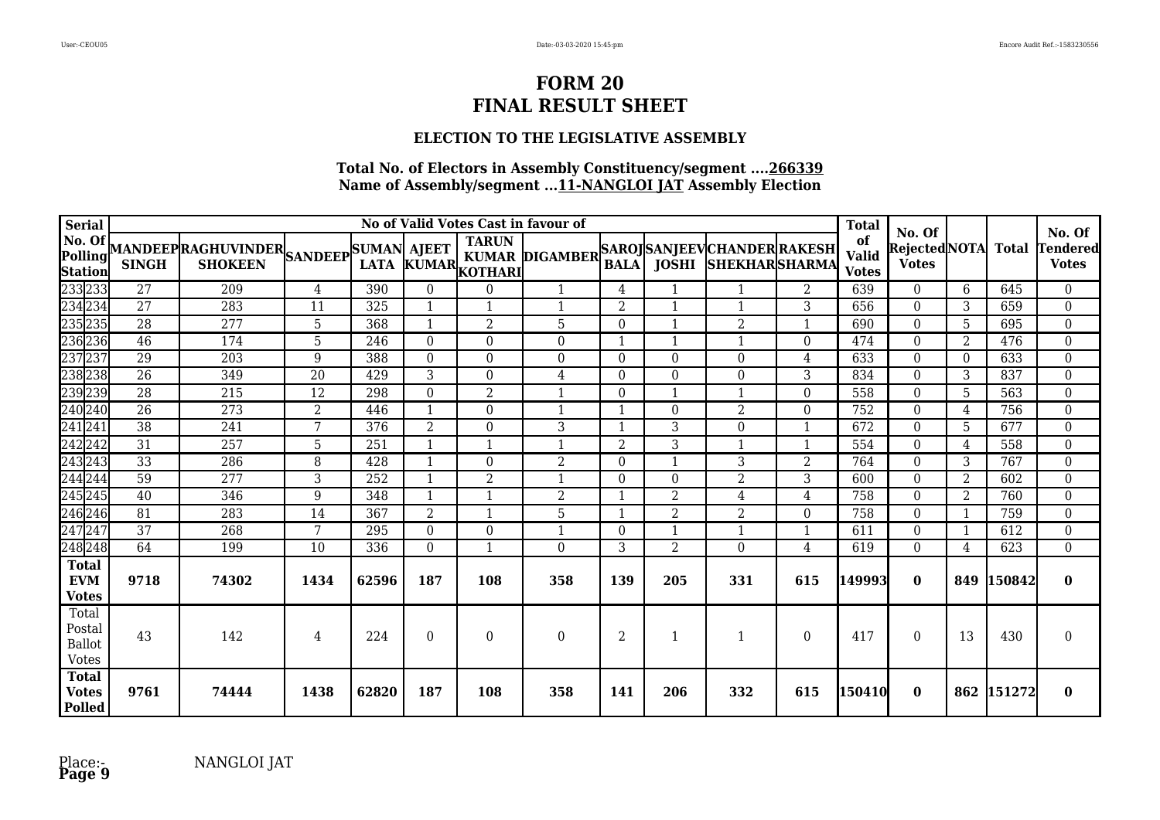## **ELECTION TO THE LEGISLATIVE ASSEMBLY**

| <b>Serial</b>                                             |                 |                                                          |                 |       |                  |                                | No of Valid Votes Cast in favour of         |                  |                  |                      |                          | <b>Total</b>                       |                                         |                |              |                                           |
|-----------------------------------------------------------|-----------------|----------------------------------------------------------|-----------------|-------|------------------|--------------------------------|---------------------------------------------|------------------|------------------|----------------------|--------------------------|------------------------------------|-----------------------------------------|----------------|--------------|-------------------------------------------|
| No. Of<br>Polling<br>Station                              | <b>SINGH</b>    | MANDEEPRAGHUVINDER SANDEEP SUMAN AJEET<br><b>SHOKEEN</b> |                 |       | LATA KUMAR,      | <b>TARUN</b><br><b>KOTHARI</b> | KUMAR DIGAMBER SAROJ SANJEEV CHANDER RAKESH | <b>BALA</b>      | <b>JOSHI</b>     | <b>SHEKHARSHARMA</b> |                          | of<br><b>Valid</b><br><b>Votes</b> | No. Of<br>Rejected NOTA<br><b>Votes</b> |                | <b>Total</b> | No. Of<br><b>Tendered</b><br><b>Votes</b> |
|                                                           | 27              | 209                                                      | 4               | 390   | $\mathbf{0}$     | $\theta$                       | 1                                           | 4                | 1                |                      | 2                        | 639                                | $\overline{0}$                          | 6              | 645          | $\overline{0}$                            |
|                                                           | 27              | 283                                                      | 11              | 325   | $\mathbf{1}$     | 1                              |                                             | $\overline{2}$   | $\mathbf 1$      |                      | 3                        | 656                                | $\boldsymbol{0}$                        | 3              | 659          | $\overline{0}$                            |
|                                                           | 28              | 277                                                      | 5               | 368   | $\mathbf{1}$     | $\overline{2}$                 | 5                                           | $\Omega$         | $\mathbf{1}$     | 2                    | $\mathbf{1}$             | 690                                | $\theta$                                | 5              | 695          | $\boldsymbol{0}$                          |
|                                                           | 46              | 174                                                      | 5               | 246   | $\mathbf{0}$     | $\theta$                       | $\Omega$                                    | 1                |                  |                      | $\theta$                 | 474                                | $\theta$                                | 2              | 476          | $\boldsymbol{0}$                          |
|                                                           | $\overline{29}$ | 203                                                      | 9               | 388   | $\overline{0}$   | $\Omega$                       | $\Omega$                                    | $\Omega$         | $\boldsymbol{0}$ | $\Omega$             | $\overline{4}$           | 633                                | $\Omega$                                | $\Omega$       | 633          | $\mathbf{0}$                              |
|                                                           | $\overline{26}$ | 349                                                      | $\overline{20}$ | 429   | 3                | $\Omega$                       | 4                                           | $\Omega$         | $\Omega$         | $\Omega$             | 3                        | 834                                | $\theta$                                | 3              | 837          | $\boldsymbol{0}$                          |
|                                                           | $\overline{28}$ | 215                                                      | 12              | 298   | $\boldsymbol{0}$ | 2                              |                                             | $\Omega$         |                  |                      | $\theta$                 | 558                                | $\theta$                                | 5              | 563          | $\boldsymbol{0}$                          |
|                                                           | $\overline{26}$ | 273                                                      | $\overline{2}$  | 446   | 1                | $\Omega$                       |                                             | 1                | $\boldsymbol{0}$ | $\overline{2}$       | $\theta$                 | 752                                | $\theta$                                | 4              | 756          | $\boldsymbol{0}$                          |
|                                                           | $\overline{38}$ | 241                                                      | 7               | 376   | $\overline{2}$   | $\Omega$                       | 3                                           | $\mathbf{1}$     | 3                | $\Omega$             | $\overline{\phantom{a}}$ | 672                                | $\Omega$                                | 5              | 677          | $\boldsymbol{0}$                          |
|                                                           | 31              | 257                                                      | 5               | 251   | $\mathbf{1}$     | 1                              | $\mathbf{1}$                                | $\overline{2}$   | 3                |                      | -1                       | 554                                | $\mathbf{0}$                            | 4              | 558          | $\boldsymbol{0}$                          |
|                                                           | $\overline{33}$ | 286                                                      | 8               | 428   | $\mathbf{1}$     | $\Omega$                       | $\overline{2}$                              | $\boldsymbol{0}$ | 1                | 3                    | $\overline{2}$           | 764                                | $\mathbf{0}$                            | 3              | 767          | $\overline{0}$                            |
|                                                           | 59              | 277                                                      | 3               | 252   | $\mathbf{1}$     | $\overline{2}$                 | $\mathbf{1}$                                | $\Omega$         | $\boldsymbol{0}$ | 2                    | 3                        | 600                                | $\theta$                                | 2              | 602          | $\boldsymbol{0}$                          |
|                                                           | 40              | 346                                                      | 9               | 348   | $\mathbf{1}$     | 1                              | $\overline{2}$                              | 1                | $\overline{2}$   | 4                    | 4                        | 758                                | $\theta$                                | $\overline{2}$ | 760          | $\boldsymbol{0}$                          |
| $\frac{246}{247}$<br>$\frac{247}{247}$                    | $\overline{81}$ | 283                                                      | 14              | 367   | $\overline{2}$   | $\mathbf{1}$                   | $\overline{5}$                              | 1                | $\overline{2}$   | 2                    | $\Omega$                 | 758                                | $\theta$                                | 1              | 759          | $\boldsymbol{0}$                          |
|                                                           | 37              | 268                                                      | 7               | 295   | $\mathbf{0}$     | $\Omega$                       |                                             | $\Omega$         | $\mathbf{1}$     |                      |                          | 611                                | $\theta$                                |                | 612          | $\boldsymbol{0}$                          |
| 248 248                                                   | 64              | 199                                                      | $\overline{10}$ | 336   | $\boldsymbol{0}$ | $\mathbf{1}$                   | $\Omega$                                    | 3                | $\overline{2}$   | $\Omega$             | 4                        | 619                                | $\Omega$                                | 4              | 623          | $\overline{0}$                            |
| <b>Total</b><br><b>EVM</b><br><b>Votes</b>                | 9718            | 74302                                                    | 1434            | 62596 | 187              | 108                            | 358                                         | 139              | 205              | 331                  | 615                      | 149993                             | $\bf{0}$                                | 849            | 150842       | $\bf{0}$                                  |
| Total<br>$\mbox{Postal}$<br><b>Ballot</b><br><b>Votes</b> | 43              | 142                                                      | 4               | 224   | $\Omega$         | $\Omega$                       | $\overline{0}$                              | $\overline{2}$   |                  |                      | $\Omega$                 | 417                                | $\Omega$                                | 13             | 430          | $\Omega$                                  |
| <b>Total</b><br><b>Votes</b><br><b>Polled</b>             | 9761            | 74444                                                    | 1438            | 62820 | 187              | 108                            | 358                                         | 141              | 206              | 332                  | 615                      | 150410                             | $\bf{0}$                                |                | 862 151272   | $\bf{0}$                                  |